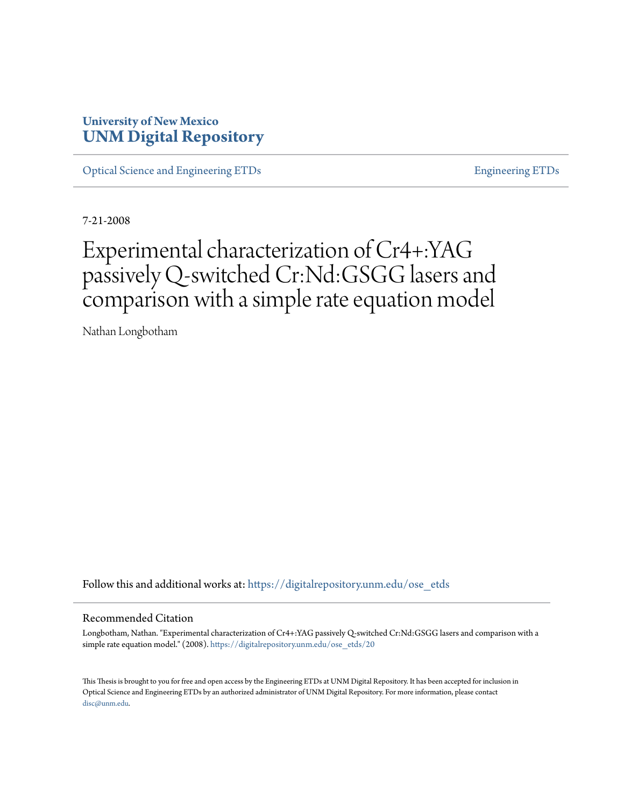### **University of New Mexico [UNM Digital Repository](https://digitalrepository.unm.edu?utm_source=digitalrepository.unm.edu%2Fose_etds%2F20&utm_medium=PDF&utm_campaign=PDFCoverPages)**

[Optical Science and Engineering ETDs](https://digitalrepository.unm.edu/ose_etds?utm_source=digitalrepository.unm.edu%2Fose_etds%2F20&utm_medium=PDF&utm_campaign=PDFCoverPages) **[Engineering ETDs](https://digitalrepository.unm.edu/eng_etds?utm_source=digitalrepository.unm.edu%2Fose_etds%2F20&utm_medium=PDF&utm_campaign=PDFCoverPages)** Engineering ETDs

7-21-2008

## Experimental characterization of Cr4+:YAG passively Q-switched Cr:Nd:GSGG lasers and comparison with a simple rate equation model

Nathan Longbotham

Follow this and additional works at: [https://digitalrepository.unm.edu/ose\\_etds](https://digitalrepository.unm.edu/ose_etds?utm_source=digitalrepository.unm.edu%2Fose_etds%2F20&utm_medium=PDF&utm_campaign=PDFCoverPages)

#### Recommended Citation

Longbotham, Nathan. "Experimental characterization of Cr4+:YAG passively Q-switched Cr:Nd:GSGG lasers and comparison with a simple rate equation model." (2008). [https://digitalrepository.unm.edu/ose\\_etds/20](https://digitalrepository.unm.edu/ose_etds/20?utm_source=digitalrepository.unm.edu%2Fose_etds%2F20&utm_medium=PDF&utm_campaign=PDFCoverPages)

This Thesis is brought to you for free and open access by the Engineering ETDs at UNM Digital Repository. It has been accepted for inclusion in Optical Science and Engineering ETDs by an authorized administrator of UNM Digital Repository. For more information, please contact [disc@unm.edu](mailto:disc@unm.edu).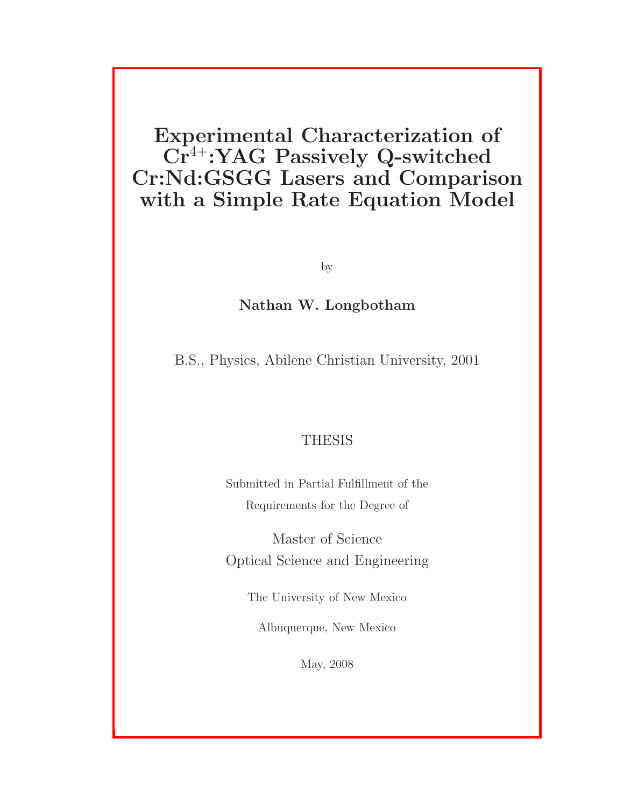## Experimental Characterization of  $Cr^{4+}$ :YAG Passively Q-switched Cr:Nd:GSGG Lasers and Comparison with a Simple Rate Equation Model

by

### Nathan W. Longbotham

B.S., Physics, Abilene Christian University, 2001

### THESIS

Submitted in Partial Fulfillment of the Requirements for the Degree of

Master of Science Optical Science and Engineering

The University of New Mexico

Albuquerque, New Mexico

May, 2008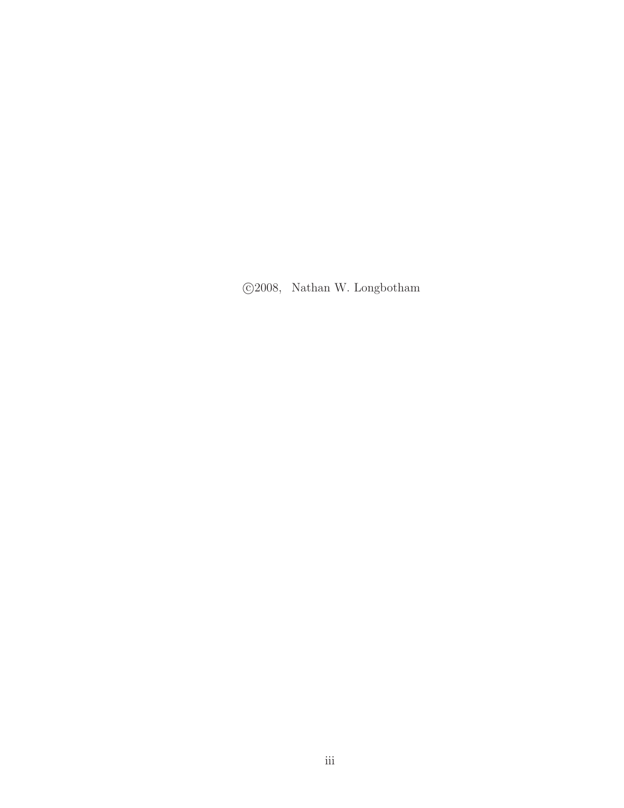c 2008, Nathan W. Longbotham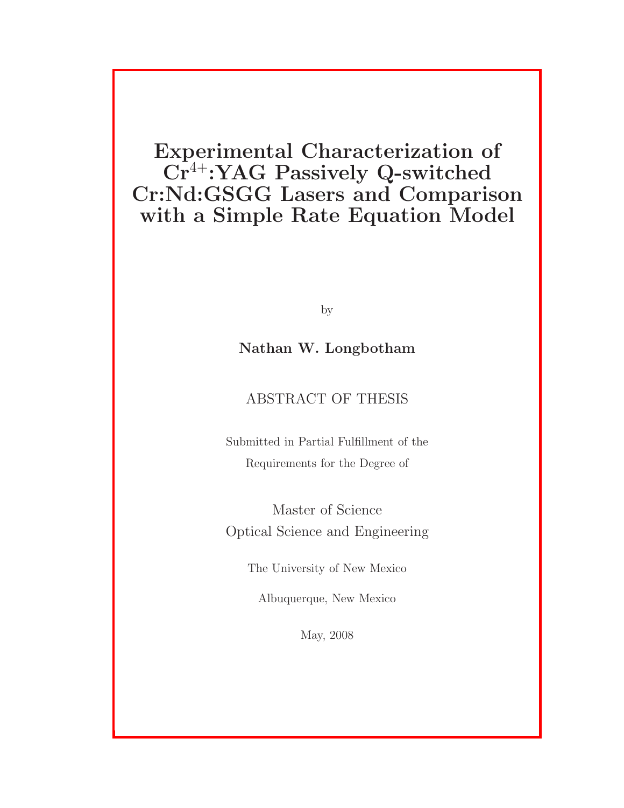## Experimental Characterization of Cr<sup>4+</sup>:YAG Passively Q-switched Cr:Nd:GSGG Lasers and Comparison with a Simple Rate Equation Model

by

### Nathan W. Longbotham

### ABSTRACT OF THESIS

Submitted in Partial Fulfillment of the Requirements for the Degree of

Master of Science Optical Science and Engineering

The University of New Mexico

Albuquerque, New Mexico

May, 2008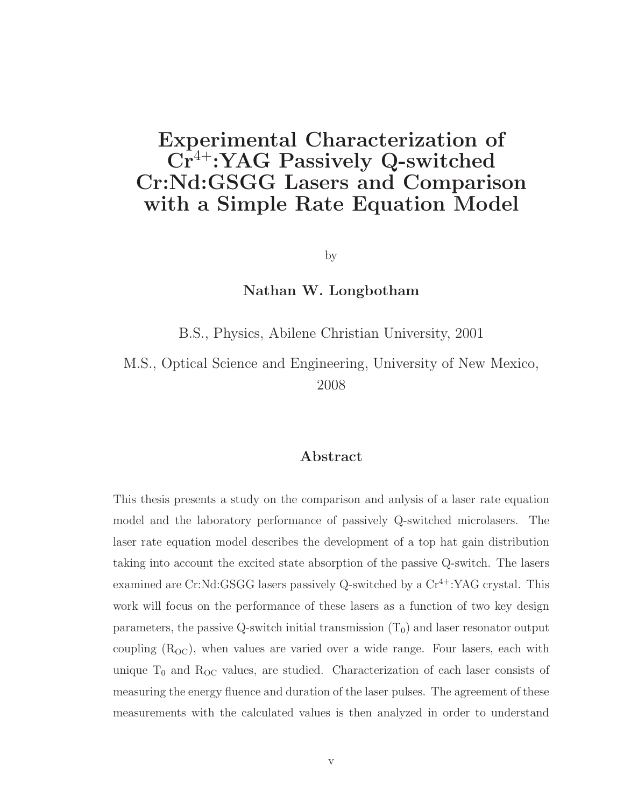## Experimental Characterization of  $Cr^{4+}$ :YAG Passively Q-switched Cr:Nd:GSGG Lasers and Comparison with a Simple Rate Equation Model

by

#### Nathan W. Longbotham

B.S., Physics, Abilene Christian University, 2001

M.S., Optical Science and Engineering, University of New Mexico, 2008

### Abstract

This thesis presents a study on the comparison and anlysis of a laser rate equation model and the laboratory performance of passively Q-switched microlasers. The laser rate equation model describes the development of a top hat gain distribution taking into account the excited state absorption of the passive Q-switch. The lasers examined are Cr:Nd:GSGG lasers passively Q-switched by a  $Cr^{4+}$ :YAG crystal. This work will focus on the performance of these lasers as a function of two key design parameters, the passive Q-switch initial transmission  $(T_0)$  and laser resonator output coupling  $(R<sub>OC</sub>)$ , when values are varied over a wide range. Four lasers, each with unique  $T_0$  and  $R_{OC}$  values, are studied. Characterization of each laser consists of measuring the energy fluence and duration of the laser pulses. The agreement of these measurements with the calculated values is then analyzed in order to understand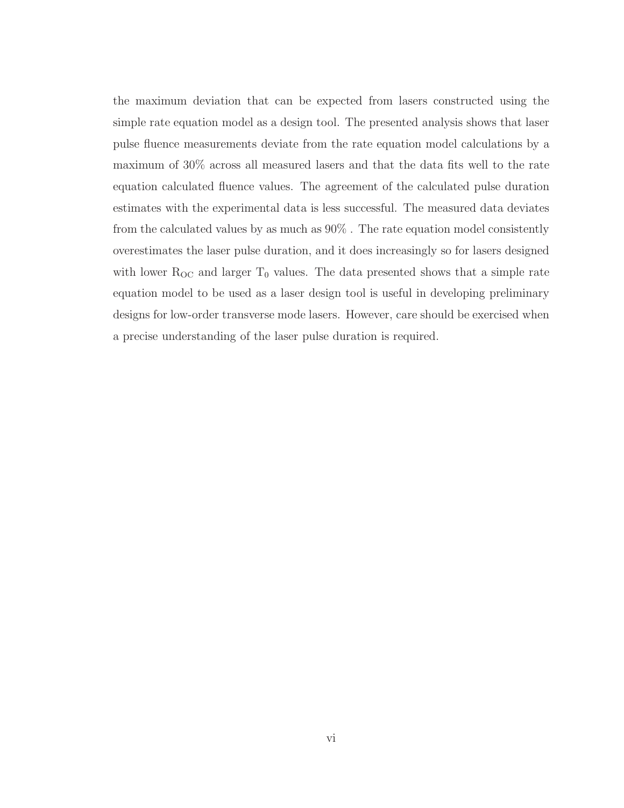the maximum deviation that can be expected from lasers constructed using the simple rate equation model as a design tool. The presented analysis shows that laser pulse fluence measurements deviate from the rate equation model calculations by a maximum of 30% across all measured lasers and that the data fits well to the rate equation calculated fluence values. The agreement of the calculated pulse duration estimates with the experimental data is less successful. The measured data deviates from the calculated values by as much as 90% . The rate equation model consistently overestimates the laser pulse duration, and it does increasingly so for lasers designed with lower  $R_{OC}$  and larger  $T_0$  values. The data presented shows that a simple rate equation model to be used as a laser design tool is useful in developing preliminary designs for low-order transverse mode lasers. However, care should be exercised when a precise understanding of the laser pulse duration is required.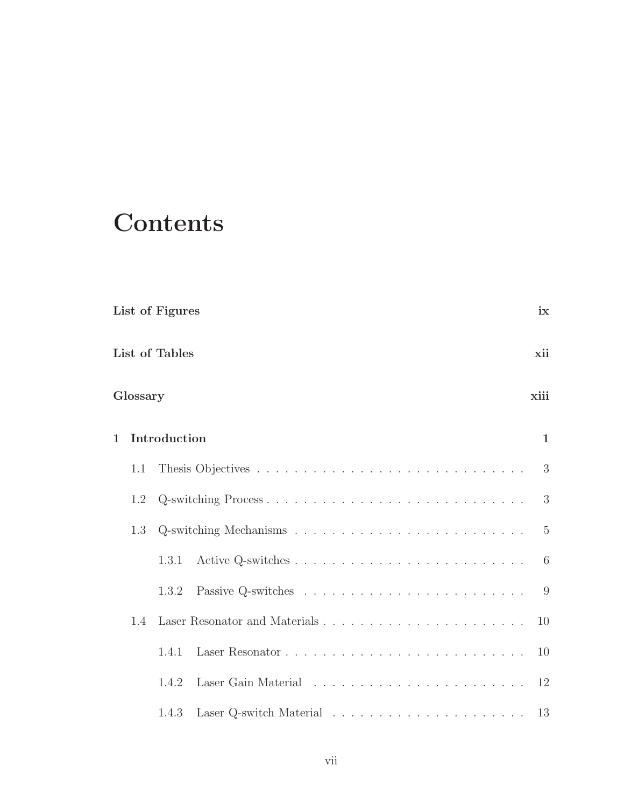## **Contents**

| List of Figures |                       |              |                     | ix           |
|-----------------|-----------------------|--------------|---------------------|--------------|
|                 | List of Tables<br>xii |              |                     |              |
| Glossary        |                       |              | xiii                |              |
| $\mathbf 1$     |                       | Introduction |                     | $\mathbf{1}$ |
|                 | 1.1                   |              |                     | 3            |
|                 | 1.2                   |              | Q-switching Process | 3            |
|                 | 1.3                   |              |                     | 5            |
|                 |                       | 1.3.1        |                     | 6            |
|                 |                       | 1.3.2        |                     | 9            |
|                 | 1.4                   |              |                     | 10           |
|                 |                       | 1.4.1        |                     | 10           |
|                 |                       | 1.4.2        |                     |              |
|                 |                       | 1.4.3        |                     | 13           |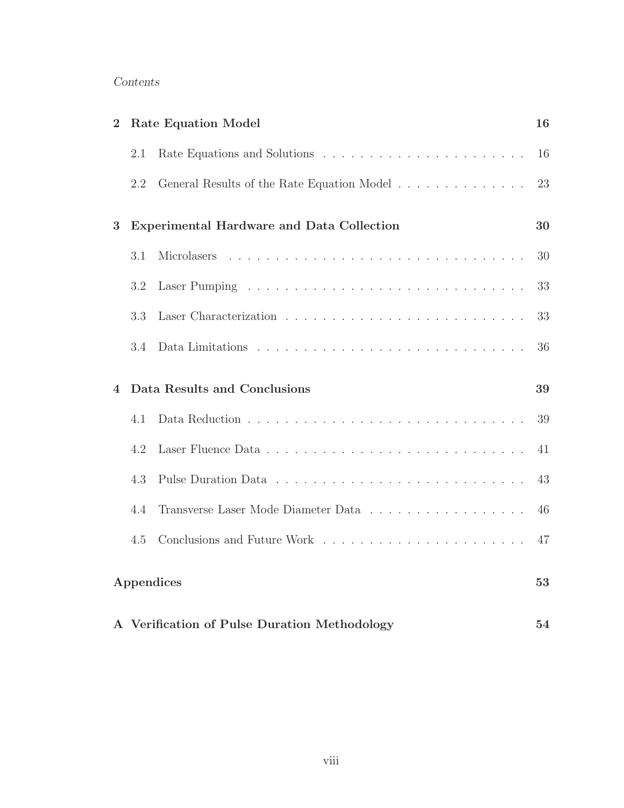### Contents

| $\overline{2}$ |     | <b>Rate Equation Model</b>                       | 16 |
|----------------|-----|--------------------------------------------------|----|
|                | 2.1 |                                                  | 16 |
|                | 2.2 | General Results of the Rate Equation Model       | 23 |
| 3              |     | <b>Experimental Hardware and Data Collection</b> | 30 |
|                | 3.1 | Microlasers                                      | 30 |
|                | 3.2 |                                                  | 33 |
|                | 3.3 |                                                  | 33 |
|                | 3.4 |                                                  | 36 |
|                |     |                                                  |    |
| $\overline{4}$ |     | Data Results and Conclusions                     | 39 |
|                | 4.1 |                                                  | 39 |
|                | 4.2 |                                                  | 41 |
|                | 4.3 |                                                  | 43 |
|                | 4.4 | Transverse Laser Mode Diameter Data              | 46 |
|                | 4.5 |                                                  | 47 |
|                |     | Appendices                                       | 53 |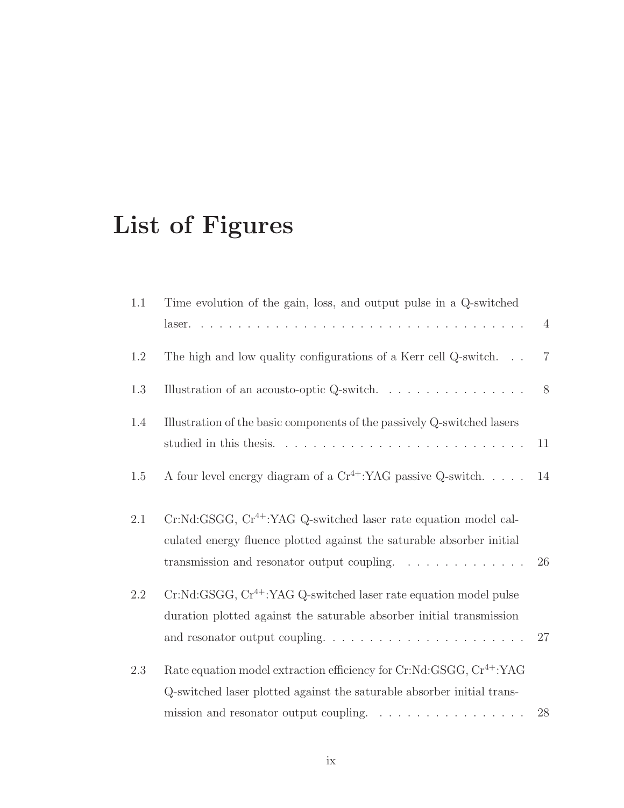# List of Figures

| 1.1     | Time evolution of the gain, loss, and output pulse in a Q-switched                                                                                                                                                                       |                |
|---------|------------------------------------------------------------------------------------------------------------------------------------------------------------------------------------------------------------------------------------------|----------------|
|         |                                                                                                                                                                                                                                          | $\overline{4}$ |
| 1.2     | The high and low quality configurations of a Kerr cell Q-switch                                                                                                                                                                          | $\overline{7}$ |
| 1.3     | Illustration of an acousto-optic Q-switch. $\ldots \ldots \ldots \ldots \ldots$                                                                                                                                                          | 8              |
| 1.4     | Illustration of the basic components of the passively Q-switched lasers                                                                                                                                                                  | 11             |
| 1.5     | A four level energy diagram of a $Cr^{4+}$ :YAG passive Q-switch                                                                                                                                                                         | 14             |
| 2.1     | $Cr:Nd: GSGG, Cr4+:YAG Q-switched laser rate equation model cal-$<br>culated energy fluence plotted against the saturable absorber initial<br>transmission and resonator output coupling.                                                | 26             |
| $2.2\,$ | $Cr:Nd: GSGG, Cr4+:YAG Q-switched laser rate equation model pulse$<br>duration plotted against the saturable absorber initial transmission<br>and resonator output coupling. $\dots \dots \dots \dots \dots \dots \dots \dots$           | 27             |
| 2.3     | Rate equation model extraction efficiency for Cr:Nd:GSGG, Cr <sup>4+</sup> :YAG<br>Q-switched laser plotted against the saturable absorber initial trans-<br>mission and resonator output coupling. $\ldots \ldots \ldots \ldots \ldots$ | 28             |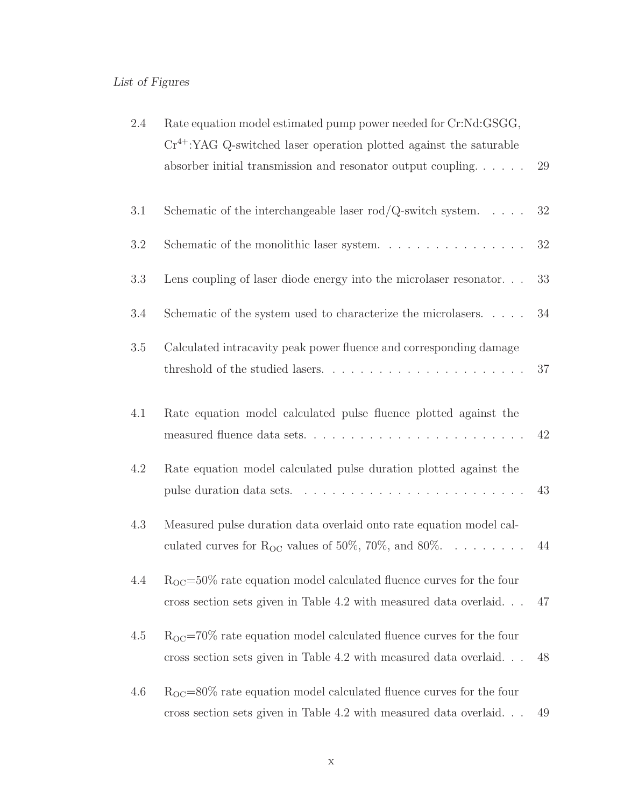## List of Figures

| 2.4 | Rate equation model estimated pump power needed for Cr:Nd:GSGG,<br>$Cr4+:YAG$ Q-switched laser operation plotted against the saturable<br>absorber initial transmission and resonator output coupling | 29 |
|-----|-------------------------------------------------------------------------------------------------------------------------------------------------------------------------------------------------------|----|
| 3.1 | Schematic of the interchangeable laser rod/Q-switch system. $\ldots$ .                                                                                                                                | 32 |
| 3.2 | Schematic of the monolithic laser system. $\ldots \ldots \ldots \ldots \ldots$                                                                                                                        | 32 |
| 3.3 | Lens coupling of laser diode energy into the microlaser resonator.                                                                                                                                    | 33 |
| 3.4 | Schematic of the system used to characterize the microlasers. $\dots$ .                                                                                                                               | 34 |
| 3.5 | Calculated intracavity peak power fluence and corresponding damage                                                                                                                                    | 37 |
| 4.1 | Rate equation model calculated pulse fluence plotted against the                                                                                                                                      | 42 |
| 4.2 | Rate equation model calculated pulse duration plotted against the                                                                                                                                     | 43 |
| 4.3 | Measured pulse duration data overlaid onto rate equation model cal-<br>culated curves for R <sub>OC</sub> values of 50\%, 70\%, and 80\%.                                                             | 44 |
| 4.4 | $R_{OC} = 50\%$ rate equation model calculated fluence curves for the four<br>cross section sets given in Table 4.2 with measured data overlaid                                                       | 47 |
| 4.5 | $R_{OC} = 70\%$ rate equation model calculated fluence curves for the four<br>cross section sets given in Table 4.2 with measured data overlaid                                                       | 48 |
| 4.6 | $R_{OC} = 80\%$ rate equation model calculated fluence curves for the four<br>cross section sets given in Table 4.2 with measured data overlaid                                                       | 49 |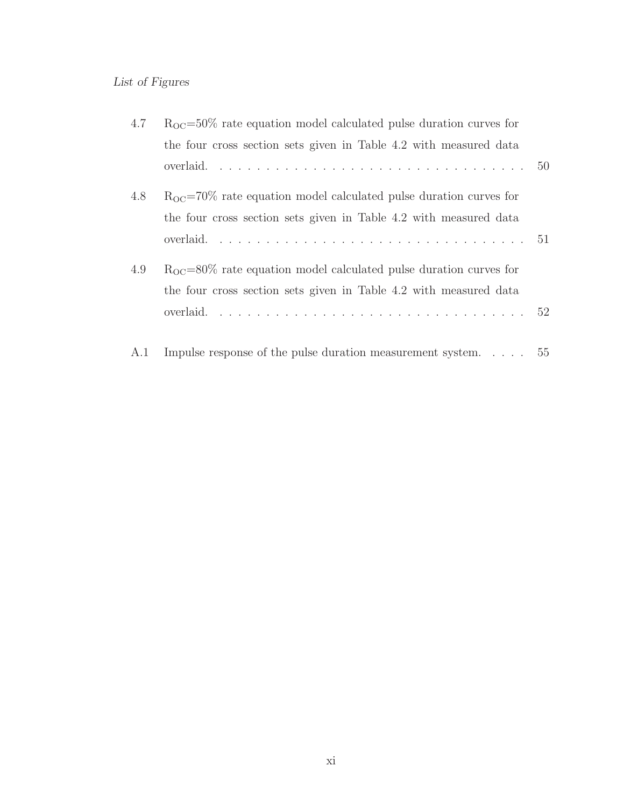## List of Figures

| 4.7 | $R_{OC} = 50\%$ rate equation model calculated pulse duration curves for |  |
|-----|--------------------------------------------------------------------------|--|
|     | the four cross section sets given in Table 4.2 with measured data        |  |
|     |                                                                          |  |
| 4.8 | $R_{OC} = 70\%$ rate equation model calculated pulse duration curves for |  |
|     | the four cross section sets given in Table 4.2 with measured data        |  |
|     |                                                                          |  |
| 4.9 | $R_{OC} = 80\%$ rate equation model calculated pulse duration curves for |  |
|     | the four cross section sets given in Table 4.2 with measured data        |  |
|     |                                                                          |  |
| A.1 | Impulse response of the pulse duration measurement system 55             |  |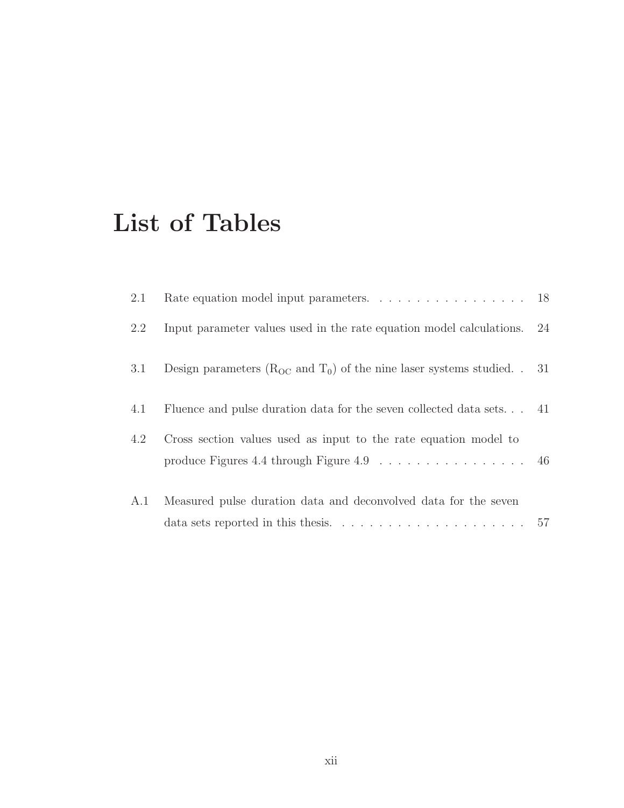## List of Tables

| 2.1 | Rate equation model input parameters. 18                                                                                                                  |    |
|-----|-----------------------------------------------------------------------------------------------------------------------------------------------------------|----|
| 2.2 | Input parameter values used in the rate equation model calculations.                                                                                      | 24 |
| 3.1 | Design parameters ( $R_{OC}$ and $T_0$ ) of the nine laser systems studied. . 31                                                                          |    |
| 4.1 | Fluence and pulse duration data for the seven collected data sets 41                                                                                      |    |
| 4.2 | Cross section values used as input to the rate equation model to<br>produce Figures 4.4 through Figure 4.9 $\dots \dots \dots \dots \dots \dots \dots$ 46 |    |
| A.1 | Measured pulse duration data and deconvolved data for the seven                                                                                           |    |
|     |                                                                                                                                                           |    |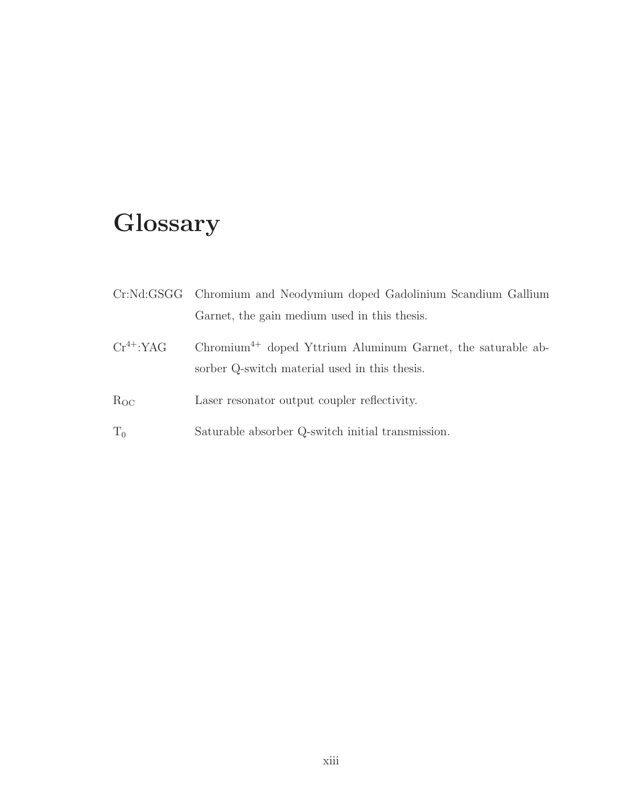# Glossary

|                | Cr:Nd:GSGG Chromium and Neodymium doped Gadolinium Scandium Gallium                                            |
|----------------|----------------------------------------------------------------------------------------------------------------|
|                | Garnet, the gain medium used in this thesis.                                                                   |
| $Cr^{4+}$ :YAG | $Chromium4+$ doped Yttrium Aluminum Garnet, the saturable ab-<br>sorber Q-switch material used in this thesis. |
| $R_{OC}$       | Laser resonator output coupler reflectivity.                                                                   |
| $T_0$          | Saturable absorber Q-switch initial transmission.                                                              |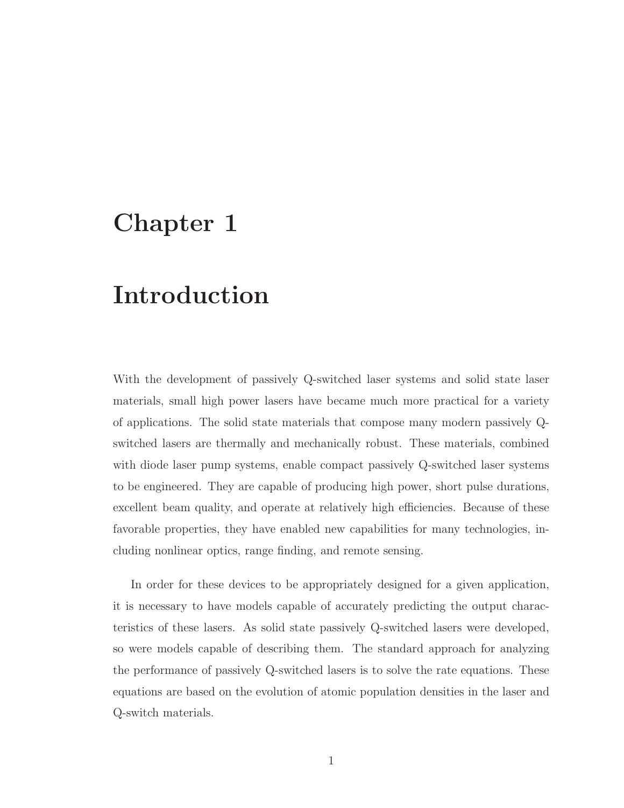## Chapter 1

## Introduction

With the development of passively Q-switched laser systems and solid state laser materials, small high power lasers have became much more practical for a variety of applications. The solid state materials that compose many modern passively Qswitched lasers are thermally and mechanically robust. These materials, combined with diode laser pump systems, enable compact passively Q-switched laser systems to be engineered. They are capable of producing high power, short pulse durations, excellent beam quality, and operate at relatively high efficiencies. Because of these favorable properties, they have enabled new capabilities for many technologies, including nonlinear optics, range finding, and remote sensing.

In order for these devices to be appropriately designed for a given application, it is necessary to have models capable of accurately predicting the output characteristics of these lasers. As solid state passively Q-switched lasers were developed, so were models capable of describing them. The standard approach for analyzing the performance of passively Q-switched lasers is to solve the rate equations. These equations are based on the evolution of atomic population densities in the laser and Q-switch materials.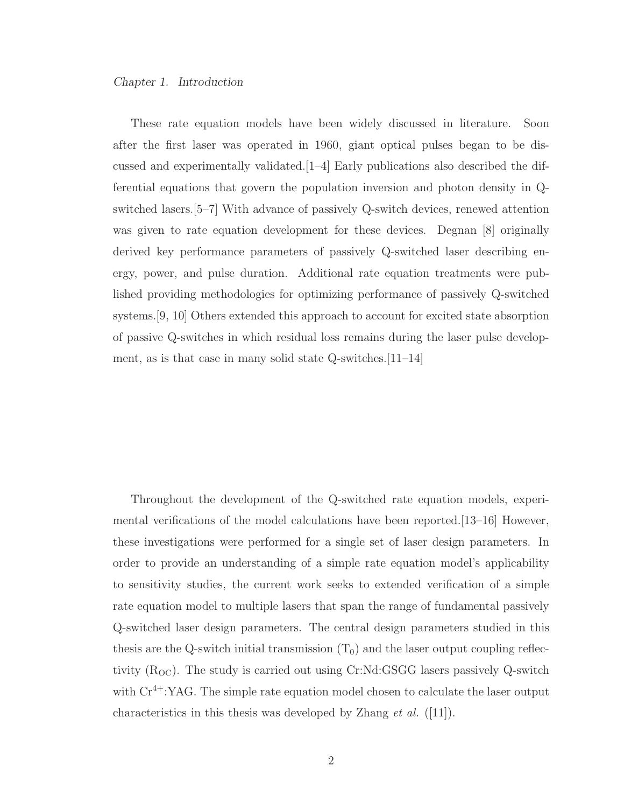These rate equation models have been widely discussed in literature. Soon after the first laser was operated in 1960, giant optical pulses began to be discussed and experimentally validated. $[1-4]$  Early publications also described the differential equations that govern the population inversion and photon density in Qswitched lasers.[5–7] With advance of passively Q-switch devices, renewed attention was given to rate equation development for these devices. Degnan [8] originally derived key performance parameters of passively Q-switched laser describing energy, power, and pulse duration. Additional rate equation treatments were published providing methodologies for optimizing performance of passively Q-switched systems.[9, 10] Others extended this approach to account for excited state absorption of passive Q-switches in which residual loss remains during the laser pulse development, as is that case in many solid state Q-switches.[11–14]

Throughout the development of the Q-switched rate equation models, experimental verifications of the model calculations have been reported.[13–16] However, these investigations were performed for a single set of laser design parameters. In order to provide an understanding of a simple rate equation model's applicability to sensitivity studies, the current work seeks to extended verification of a simple rate equation model to multiple lasers that span the range of fundamental passively Q-switched laser design parameters. The central design parameters studied in this thesis are the Q-switch initial transmission  $(T_0)$  and the laser output coupling reflectivity  $(R<sub>OC</sub>)$ . The study is carried out using Cr:Nd:GSGG lasers passively Q-switch with  $Cr^{4+}$ :YAG. The simple rate equation model chosen to calculate the laser output characteristics in this thesis was developed by Zhang *et al.*  $(|11|)$ .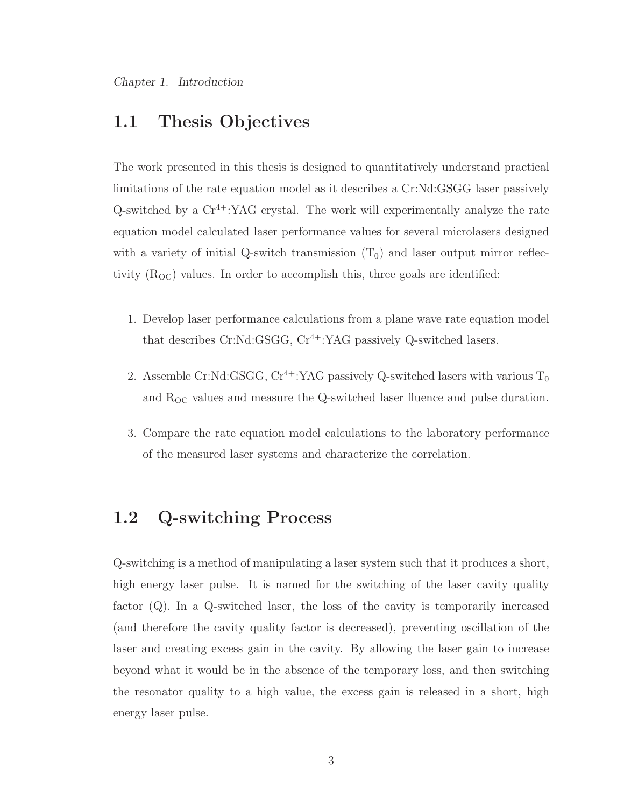## 1.1 Thesis Objectives

The work presented in this thesis is designed to quantitatively understand practical limitations of the rate equation model as it describes a Cr:Nd:GSGG laser passively Q-switched by a  $Cr^{4+}$ :YAG crystal. The work will experimentally analyze the rate equation model calculated laser performance values for several microlasers designed with a variety of initial Q-switch transmission  $(T_0)$  and laser output mirror reflectivity  $(R<sub>OC</sub>)$  values. In order to accomplish this, three goals are identified:

- 1. Develop laser performance calculations from a plane wave rate equation model that describes  $Cr:Nd:GSGG, Cr<sup>4+</sup>:YAG$  passively Q-switched lasers.
- 2. Assemble Cr:Nd:GSGG,  $Cr^{4+}$ :YAG passively Q-switched lasers with various  $T_0$ and  $R_{OC}$  values and measure the Q-switched laser fluence and pulse duration.
- 3. Compare the rate equation model calculations to the laboratory performance of the measured laser systems and characterize the correlation.

### 1.2 Q-switching Process

Q-switching is a method of manipulating a laser system such that it produces a short, high energy laser pulse. It is named for the switching of the laser cavity quality factor (Q). In a Q-switched laser, the loss of the cavity is temporarily increased (and therefore the cavity quality factor is decreased), preventing oscillation of the laser and creating excess gain in the cavity. By allowing the laser gain to increase beyond what it would be in the absence of the temporary loss, and then switching the resonator quality to a high value, the excess gain is released in a short, high energy laser pulse.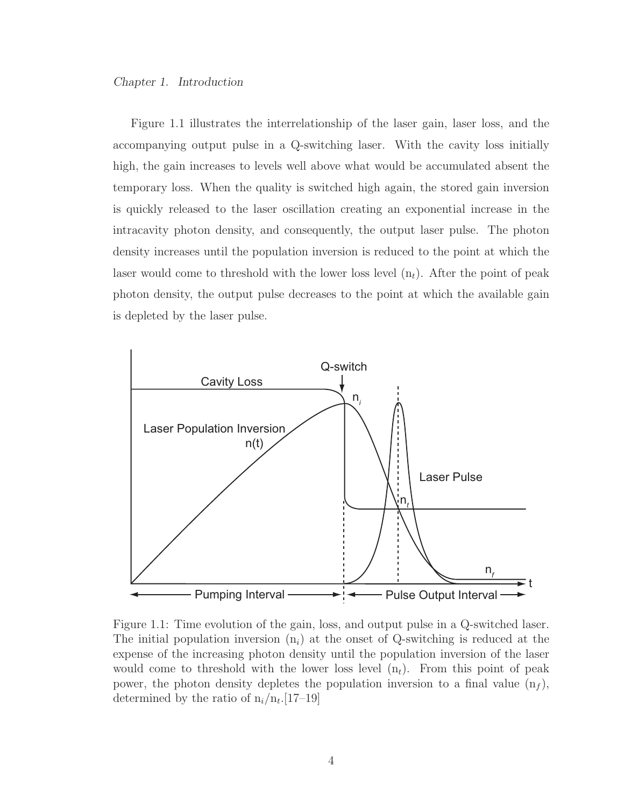Figure 1.1 illustrates the interrelationship of the laser gain, laser loss, and the accompanying output pulse in a Q-switching laser. With the cavity loss initially high, the gain increases to levels well above what would be accumulated absent the temporary loss. When the quality is switched high again, the stored gain inversion is quickly released to the laser oscillation creating an exponential increase in the intracavity photon density, and consequently, the output laser pulse. The photon density increases until the population inversion is reduced to the point at which the laser would come to threshold with the lower loss level  $(n_t)$ . After the point of peak photon density, the output pulse decreases to the point at which the available gain is depleted by the laser pulse.



Figure 1.1: Time evolution of the gain, loss, and output pulse in a Q-switched laser. The initial population inversion  $(n_i)$  at the onset of Q-switching is reduced at the expense of the increasing photon density until the population inversion of the laser would come to threshold with the lower loss level  $(n_t)$ . From this point of peak power, the photon density depletes the population inversion to a final value  $(n_f)$ , determined by the ratio of  $n_i/n_t$ . [17–19]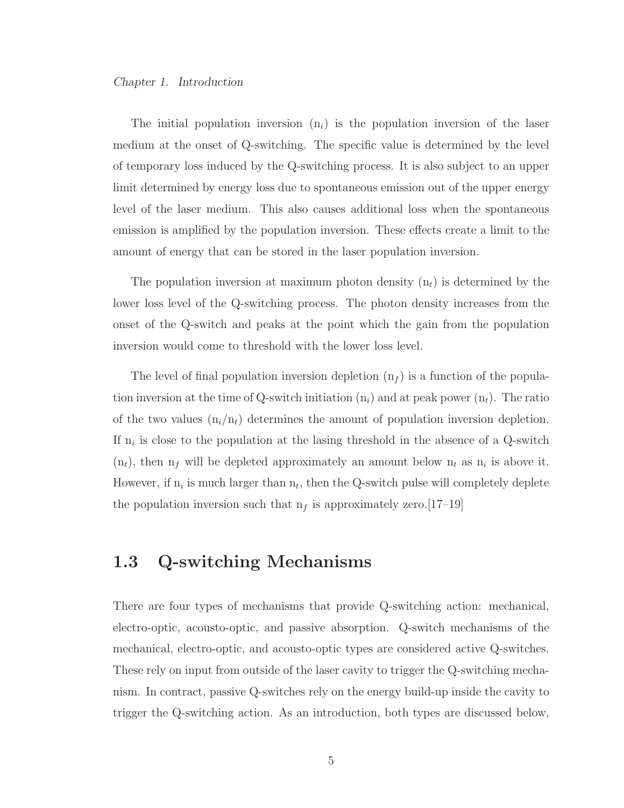The initial population inversion  $(n_i)$  is the population inversion of the laser medium at the onset of Q-switching. The specific value is determined by the level of temporary loss induced by the Q-switching process. It is also subject to an upper limit determined by energy loss due to spontaneous emission out of the upper energy level of the laser medium. This also causes additional loss when the spontaneous emission is amplified by the population inversion. These effects create a limit to the amount of energy that can be stored in the laser population inversion.

The population inversion at maximum photon density  $(n_t)$  is determined by the lower loss level of the Q-switching process. The photon density increases from the onset of the Q-switch and peaks at the point which the gain from the population inversion would come to threshold with the lower loss level.

The level of final population inversion depletion  $(n_f)$  is a function of the population inversion at the time of Q-switch initiation  $(n_i)$  and at peak power  $(n_t)$ . The ratio of the two values  $(n_i/n_t)$  determines the amount of population inversion depletion. If  $n_i$  is close to the population at the lasing threshold in the absence of a Q-switch  $(n_t)$ , then  $n_f$  will be depleted approximately an amount below  $n_t$  as  $n_i$  is above it. However, if  $n_i$  is much larger than  $n_t$ , then the Q-switch pulse will completely deplete the population inversion such that  $n_f$  is approximately zero.[17–19]

## 1.3 Q-switching Mechanisms

There are four types of mechanisms that provide Q-switching action: mechanical, electro-optic, acousto-optic, and passive absorption. Q-switch mechanisms of the mechanical, electro-optic, and acousto-optic types are considered active Q-switches. These rely on input from outside of the laser cavity to trigger the Q-switching mechanism. In contract, passive Q-switches rely on the energy build-up inside the cavity to trigger the Q-switching action. As an introduction, both types are discussed below,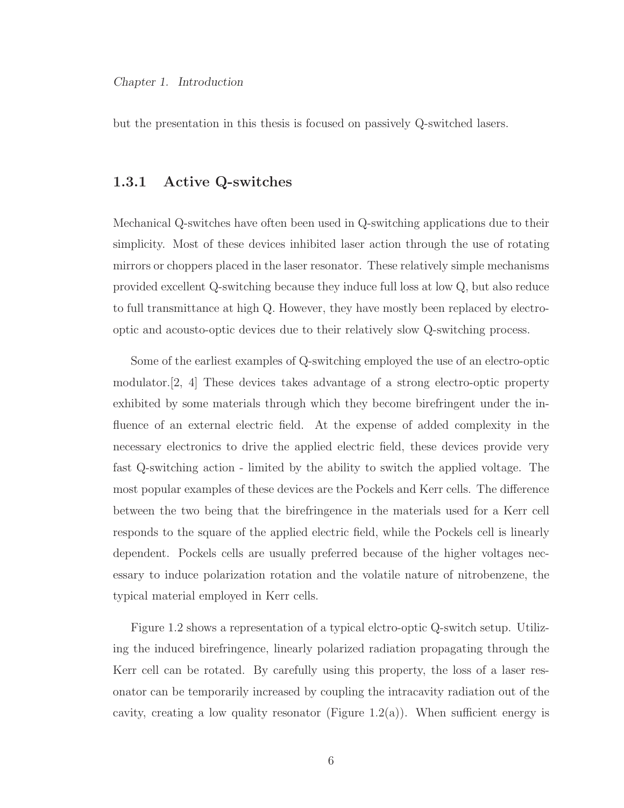but the presentation in this thesis is focused on passively Q-switched lasers.

#### 1.3.1 Active Q-switches

Mechanical Q-switches have often been used in Q-switching applications due to their simplicity. Most of these devices inhibited laser action through the use of rotating mirrors or choppers placed in the laser resonator. These relatively simple mechanisms provided excellent Q-switching because they induce full loss at low Q, but also reduce to full transmittance at high Q. However, they have mostly been replaced by electrooptic and acousto-optic devices due to their relatively slow Q-switching process.

Some of the earliest examples of Q-switching employed the use of an electro-optic modulator.[2, 4] These devices takes advantage of a strong electro-optic property exhibited by some materials through which they become birefringent under the influence of an external electric field. At the expense of added complexity in the necessary electronics to drive the applied electric field, these devices provide very fast Q-switching action - limited by the ability to switch the applied voltage. The most popular examples of these devices are the Pockels and Kerr cells. The difference between the two being that the birefringence in the materials used for a Kerr cell responds to the square of the applied electric field, while the Pockels cell is linearly dependent. Pockels cells are usually preferred because of the higher voltages necessary to induce polarization rotation and the volatile nature of nitrobenzene, the typical material employed in Kerr cells.

Figure 1.2 shows a representation of a typical elctro-optic Q-switch setup. Utilizing the induced birefringence, linearly polarized radiation propagating through the Kerr cell can be rotated. By carefully using this property, the loss of a laser resonator can be temporarily increased by coupling the intracavity radiation out of the cavity, creating a low quality resonator (Figure 1.2(a)). When sufficient energy is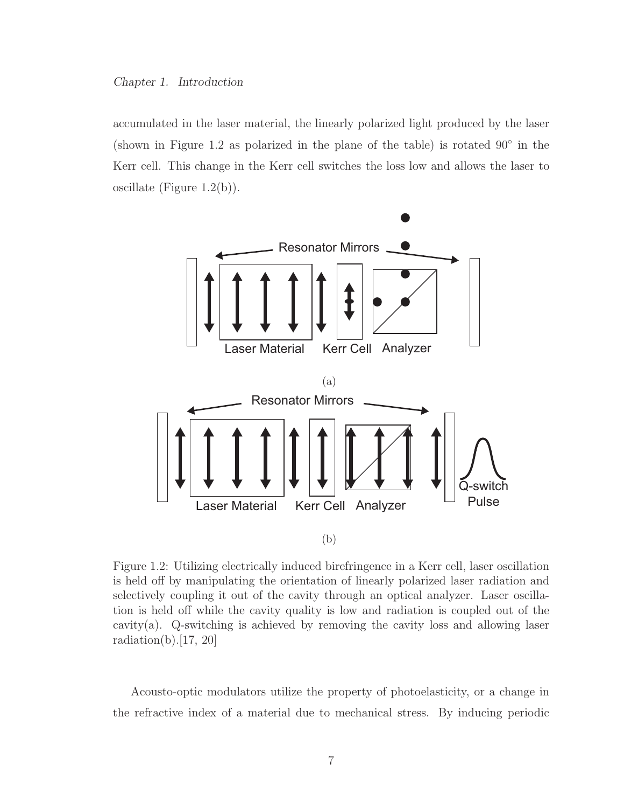accumulated in the laser material, the linearly polarized light produced by the laser (shown in Figure 1.2 as polarized in the plane of the table) is rotated  $90°$  in the Kerr cell. This change in the Kerr cell switches the loss low and allows the laser to oscillate (Figure 1.2(b)).



Figure 1.2: Utilizing electrically induced birefringence in a Kerr cell, laser oscillation is held off by manipulating the orientation of linearly polarized laser radiation and selectively coupling it out of the cavity through an optical analyzer. Laser oscillation is held off while the cavity quality is low and radiation is coupled out of the cavity(a). Q-switching is achieved by removing the cavity loss and allowing laser radiation(b). $[17, 20]$ 

Acousto-optic modulators utilize the property of photoelasticity, or a change in the refractive index of a material due to mechanical stress. By inducing periodic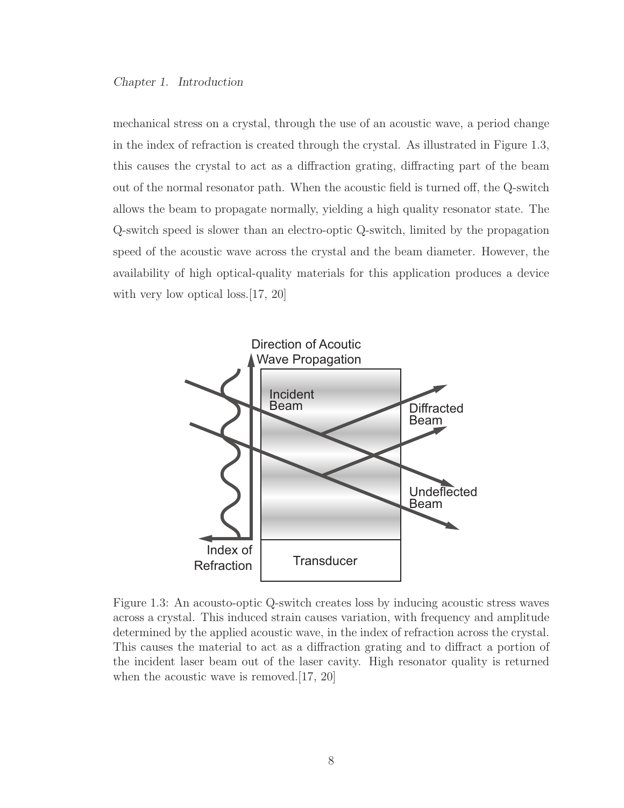mechanical stress on a crystal, through the use of an acoustic wave, a period change in the index of refraction is created through the crystal. As illustrated in Figure 1.3, this causes the crystal to act as a diffraction grating, diffracting part of the beam out of the normal resonator path. When the acoustic field is turned off, the Q-switch allows the beam to propagate normally, yielding a high quality resonator state. The Q-switch speed is slower than an electro-optic Q-switch, limited by the propagation speed of the acoustic wave across the crystal and the beam diameter. However, the availability of high optical-quality materials for this application produces a device with very low optical loss. [17, 20]



Figure 1.3: An acousto-optic Q-switch creates loss by inducing acoustic stress waves across a crystal. This induced strain causes variation, with frequency and amplitude determined by the applied acoustic wave, in the index of refraction across the crystal. This causes the material to act as a diffraction grating and to diffract a portion of the incident laser beam out of the laser cavity. High resonator quality is returned when the acoustic wave is removed.[17, 20]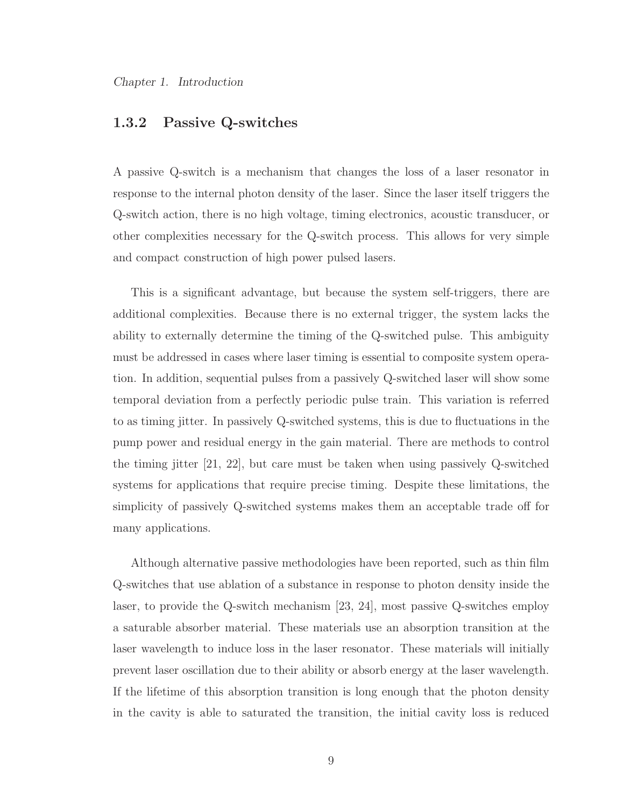#### 1.3.2 Passive Q-switches

A passive Q-switch is a mechanism that changes the loss of a laser resonator in response to the internal photon density of the laser. Since the laser itself triggers the Q-switch action, there is no high voltage, timing electronics, acoustic transducer, or other complexities necessary for the Q-switch process. This allows for very simple and compact construction of high power pulsed lasers.

This is a significant advantage, but because the system self-triggers, there are additional complexities. Because there is no external trigger, the system lacks the ability to externally determine the timing of the Q-switched pulse. This ambiguity must be addressed in cases where laser timing is essential to composite system operation. In addition, sequential pulses from a passively Q-switched laser will show some temporal deviation from a perfectly periodic pulse train. This variation is referred to as timing jitter. In passively Q-switched systems, this is due to fluctuations in the pump power and residual energy in the gain material. There are methods to control the timing jitter [21, 22], but care must be taken when using passively Q-switched systems for applications that require precise timing. Despite these limitations, the simplicity of passively Q-switched systems makes them an acceptable trade off for many applications.

Although alternative passive methodologies have been reported, such as thin film Q-switches that use ablation of a substance in response to photon density inside the laser, to provide the Q-switch mechanism [23, 24], most passive Q-switches employ a saturable absorber material. These materials use an absorption transition at the laser wavelength to induce loss in the laser resonator. These materials will initially prevent laser oscillation due to their ability or absorb energy at the laser wavelength. If the lifetime of this absorption transition is long enough that the photon density in the cavity is able to saturated the transition, the initial cavity loss is reduced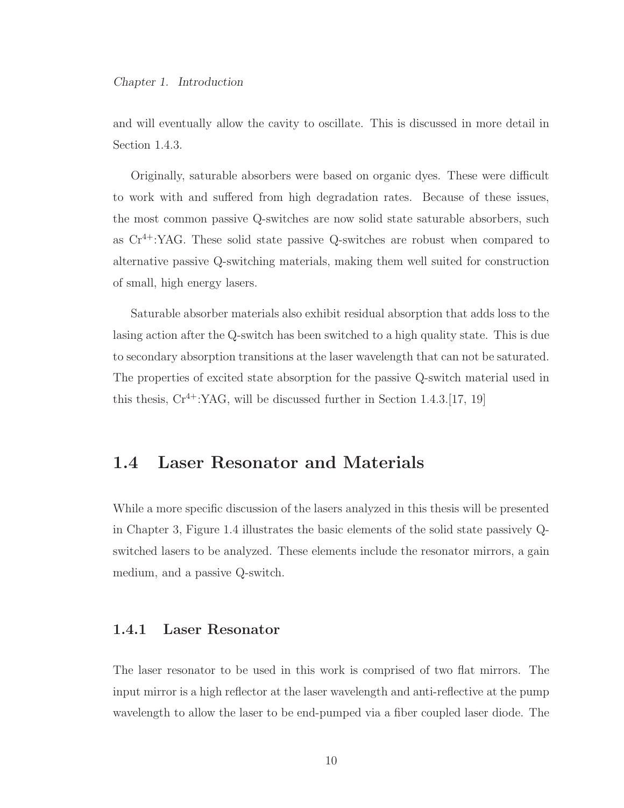and will eventually allow the cavity to oscillate. This is discussed in more detail in Section 1.4.3.

Originally, saturable absorbers were based on organic dyes. These were difficult to work with and suffered from high degradation rates. Because of these issues, the most common passive Q-switches are now solid state saturable absorbers, such as Cr4+:YAG. These solid state passive Q-switches are robust when compared to alternative passive Q-switching materials, making them well suited for construction of small, high energy lasers.

Saturable absorber materials also exhibit residual absorption that adds loss to the lasing action after the Q-switch has been switched to a high quality state. This is due to secondary absorption transitions at the laser wavelength that can not be saturated. The properties of excited state absorption for the passive Q-switch material used in this thesis,  $Cr^{4+}$ :YAG, will be discussed further in Section 1.4.3.[17, 19]

## 1.4 Laser Resonator and Materials

While a more specific discussion of the lasers analyzed in this thesis will be presented in Chapter 3, Figure 1.4 illustrates the basic elements of the solid state passively Qswitched lasers to be analyzed. These elements include the resonator mirrors, a gain medium, and a passive Q-switch.

#### 1.4.1 Laser Resonator

The laser resonator to be used in this work is comprised of two flat mirrors. The input mirror is a high reflector at the laser wavelength and anti-reflective at the pump wavelength to allow the laser to be end-pumped via a fiber coupled laser diode. The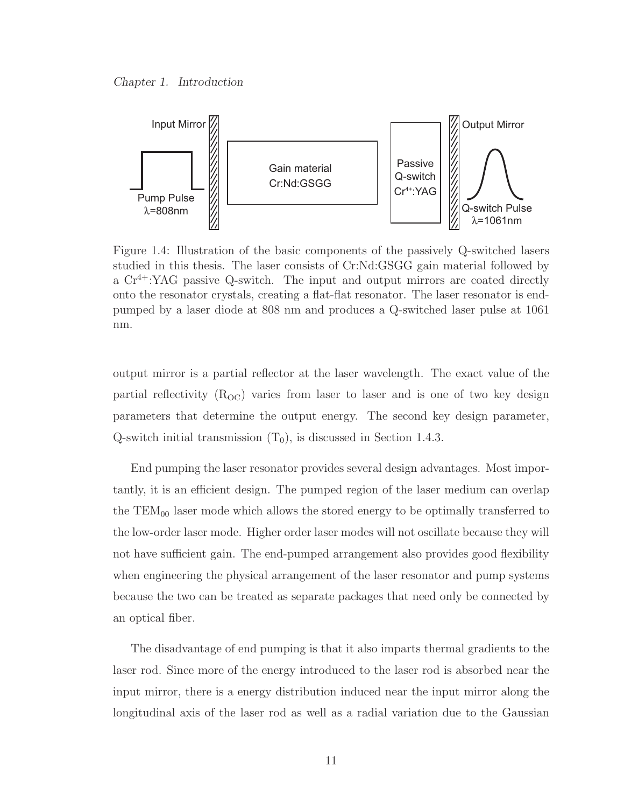

Figure 1.4: Illustration of the basic components of the passively Q-switched lasers studied in this thesis. The laser consists of Cr:Nd:GSGG gain material followed by a  $Cr^{4+}$ :YAG passive Q-switch. The input and output mirrors are coated directly onto the resonator crystals, creating a flat-flat resonator. The laser resonator is endpumped by a laser diode at 808 nm and produces a Q-switched laser pulse at 1061 nm.

output mirror is a partial reflector at the laser wavelength. The exact value of the partial reflectivity  $(R_{\text{OC}})$  varies from laser to laser and is one of two key design parameters that determine the output energy. The second key design parameter, Q-switch initial transmission  $(T_0)$ , is discussed in Section 1.4.3.

End pumping the laser resonator provides several design advantages. Most importantly, it is an efficient design. The pumped region of the laser medium can overlap the  $TEM_{00}$  laser mode which allows the stored energy to be optimally transferred to the low-order laser mode. Higher order laser modes will not oscillate because they will not have sufficient gain. The end-pumped arrangement also provides good flexibility when engineering the physical arrangement of the laser resonator and pump systems because the two can be treated as separate packages that need only be connected by an optical fiber.

The disadvantage of end pumping is that it also imparts thermal gradients to the laser rod. Since more of the energy introduced to the laser rod is absorbed near the input mirror, there is a energy distribution induced near the input mirror along the longitudinal axis of the laser rod as well as a radial variation due to the Gaussian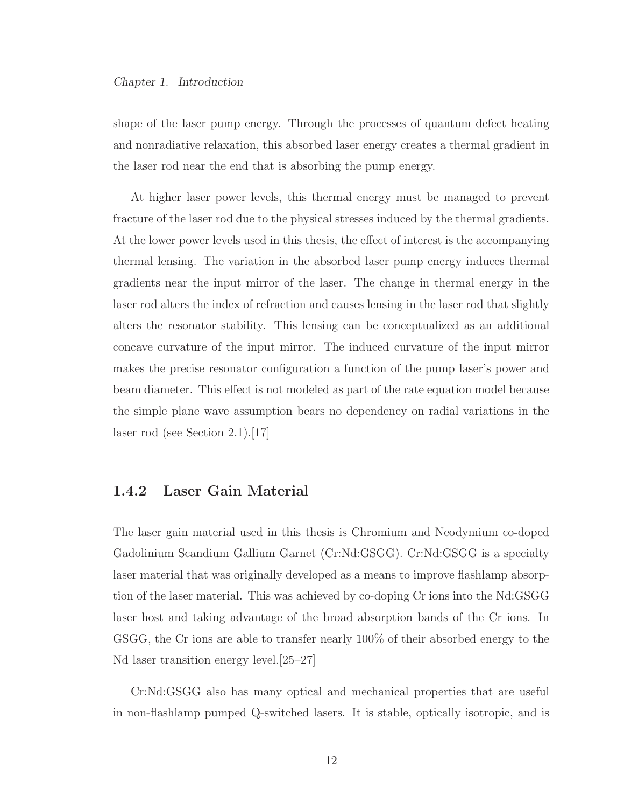shape of the laser pump energy. Through the processes of quantum defect heating and nonradiative relaxation, this absorbed laser energy creates a thermal gradient in the laser rod near the end that is absorbing the pump energy.

At higher laser power levels, this thermal energy must be managed to prevent fracture of the laser rod due to the physical stresses induced by the thermal gradients. At the lower power levels used in this thesis, the effect of interest is the accompanying thermal lensing. The variation in the absorbed laser pump energy induces thermal gradients near the input mirror of the laser. The change in thermal energy in the laser rod alters the index of refraction and causes lensing in the laser rod that slightly alters the resonator stability. This lensing can be conceptualized as an additional concave curvature of the input mirror. The induced curvature of the input mirror makes the precise resonator configuration a function of the pump laser's power and beam diameter. This effect is not modeled as part of the rate equation model because the simple plane wave assumption bears no dependency on radial variations in the laser rod (see Section 2.1).[17]

#### 1.4.2 Laser Gain Material

The laser gain material used in this thesis is Chromium and Neodymium co-doped Gadolinium Scandium Gallium Garnet (Cr:Nd:GSGG). Cr:Nd:GSGG is a specialty laser material that was originally developed as a means to improve flashlamp absorption of the laser material. This was achieved by co-doping Cr ions into the Nd:GSGG laser host and taking advantage of the broad absorption bands of the Cr ions. In GSGG, the Cr ions are able to transfer nearly 100% of their absorbed energy to the Nd laser transition energy level.[25–27]

Cr:Nd:GSGG also has many optical and mechanical properties that are useful in non-flashlamp pumped Q-switched lasers. It is stable, optically isotropic, and is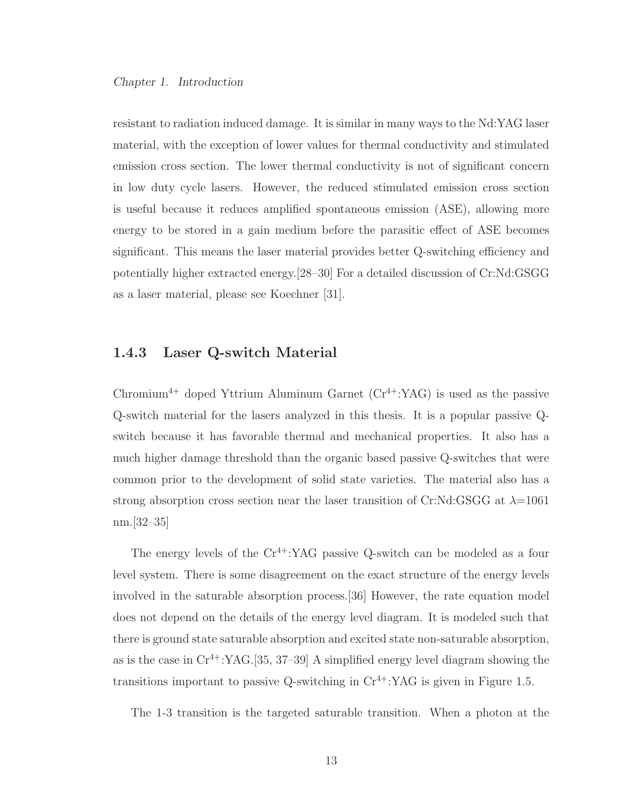resistant to radiation induced damage. It is similar in many ways to the Nd:YAG laser material, with the exception of lower values for thermal conductivity and stimulated emission cross section. The lower thermal conductivity is not of significant concern in low duty cycle lasers. However, the reduced stimulated emission cross section is useful because it reduces amplified spontaneous emission (ASE), allowing more energy to be stored in a gain medium before the parasitic effect of ASE becomes significant. This means the laser material provides better Q-switching efficiency and potentially higher extracted energy.[28–30] For a detailed discussion of Cr:Nd:GSGG as a laser material, please see Koechner [31].

#### 1.4.3 Laser Q-switch Material

Chromium<sup>4+</sup> doped Yttrium Aluminum Garnet  $(Cr^{4+}:YAG)$  is used as the passive Q-switch material for the lasers analyzed in this thesis. It is a popular passive Qswitch because it has favorable thermal and mechanical properties. It also has a much higher damage threshold than the organic based passive Q-switches that were common prior to the development of solid state varieties. The material also has a strong absorption cross section near the laser transition of Cr:Nd:GSGG at  $\lambda=1061$ nm.[32–35]

The energy levels of the  $Cr^{4+}$ :YAG passive Q-switch can be modeled as a four level system. There is some disagreement on the exact structure of the energy levels involved in the saturable absorption process.[36] However, the rate equation model does not depend on the details of the energy level diagram. It is modeled such that there is ground state saturable absorption and excited state non-saturable absorption, as is the case in  $Cr^{4+}$ :YAG.[35, 37–39] A simplified energy level diagram showing the transitions important to passive Q-switching in  $Cr^{4+}$ :YAG is given in Figure 1.5.

The 1-3 transition is the targeted saturable transition. When a photon at the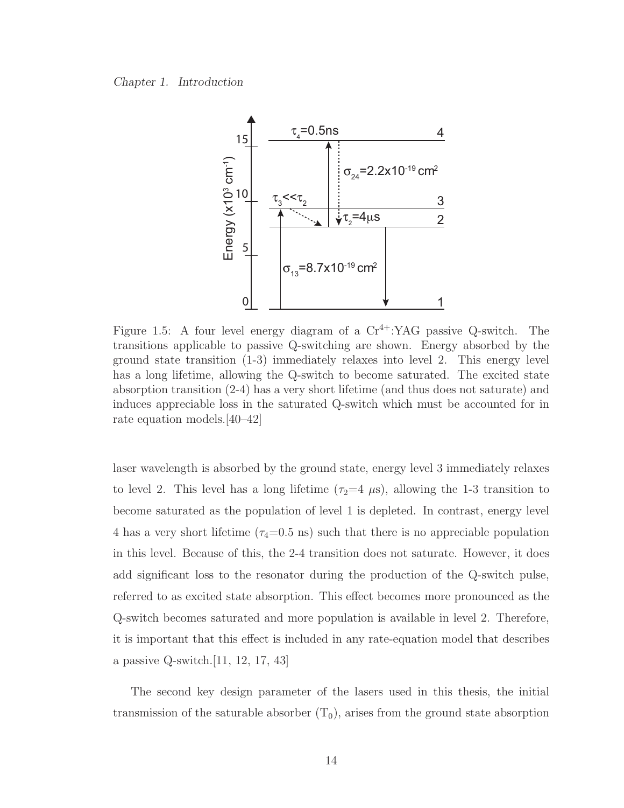

Figure 1.5: A four level energy diagram of a  $Cr^{4+}$ :YAG passive Q-switch. The transitions applicable to passive Q-switching are shown. Energy absorbed by the ground state transition (1-3) immediately relaxes into level 2. This energy level has a long lifetime, allowing the Q-switch to become saturated. The excited state absorption transition (2-4) has a very short lifetime (and thus does not saturate) and induces appreciable loss in the saturated Q-switch which must be accounted for in rate equation models.[40–42]

laser wavelength is absorbed by the ground state, energy level 3 immediately relaxes to level 2. This level has a long lifetime  $(\tau_2=4 \mu s)$ , allowing the 1-3 transition to become saturated as the population of level 1 is depleted. In contrast, energy level 4 has a very short lifetime  $(\tau_4=0.5 \text{ ns})$  such that there is no appreciable population in this level. Because of this, the 2-4 transition does not saturate. However, it does add significant loss to the resonator during the production of the Q-switch pulse, referred to as excited state absorption. This effect becomes more pronounced as the Q-switch becomes saturated and more population is available in level 2. Therefore, it is important that this effect is included in any rate-equation model that describes a passive Q-switch.[11, 12, 17, 43]

The second key design parameter of the lasers used in this thesis, the initial transmission of the saturable absorber  $(T_0)$ , arises from the ground state absorption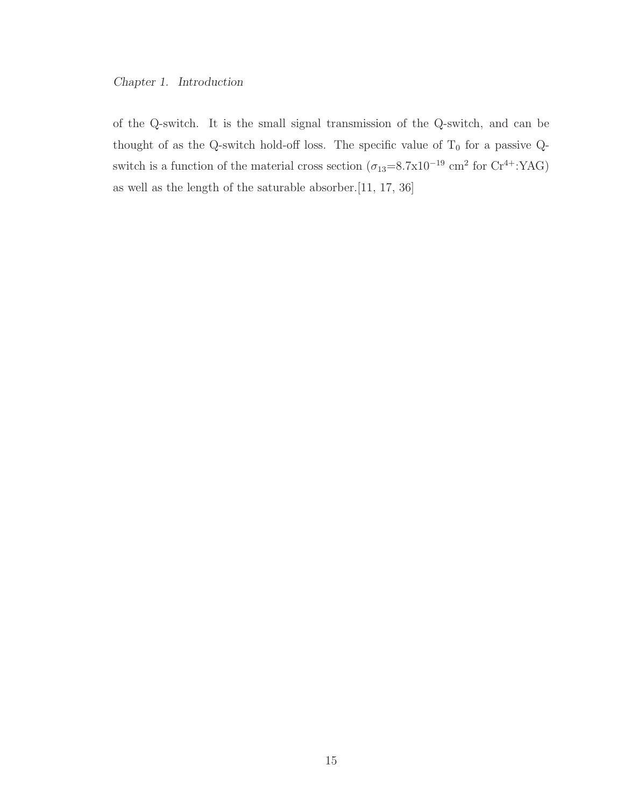of the Q-switch. It is the small signal transmission of the Q-switch, and can be thought of as the Q-switch hold-off loss. The specific value of  $T_0$  for a passive Qswitch is a function of the material cross section  $(\sigma_{13}=8.7 \times 10^{-19} \text{ cm}^2 \text{ for Cr}^{4+}$ :YAG) as well as the length of the saturable absorber.[11, 17, 36]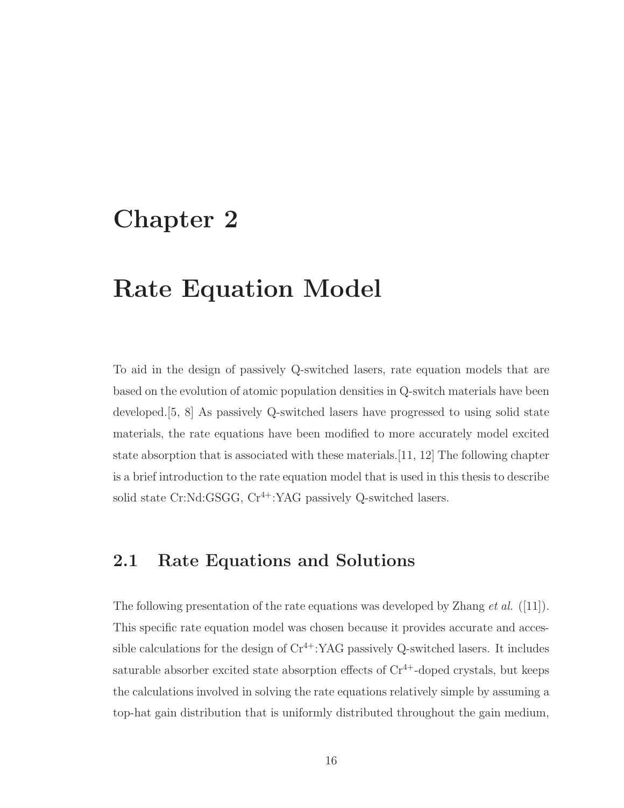## Chapter 2

## Rate Equation Model

To aid in the design of passively Q-switched lasers, rate equation models that are based on the evolution of atomic population densities in Q-switch materials have been developed.[5, 8] As passively Q-switched lasers have progressed to using solid state materials, the rate equations have been modified to more accurately model excited state absorption that is associated with these materials.[11, 12] The following chapter is a brief introduction to the rate equation model that is used in this thesis to describe solid state Cr:Nd:GSGG,  $Cr^{4+}$ :YAG passively Q-switched lasers.

### 2.1 Rate Equations and Solutions

The following presentation of the rate equations was developed by Zhang *et al.* ([11]). This specific rate equation model was chosen because it provides accurate and accessible calculations for the design of  $Cr^{4+}$ :YAG passively Q-switched lasers. It includes saturable absorber excited state absorption effects of  $Cr^{4+}$ -doped crystals, but keeps the calculations involved in solving the rate equations relatively simple by assuming a top-hat gain distribution that is uniformly distributed throughout the gain medium,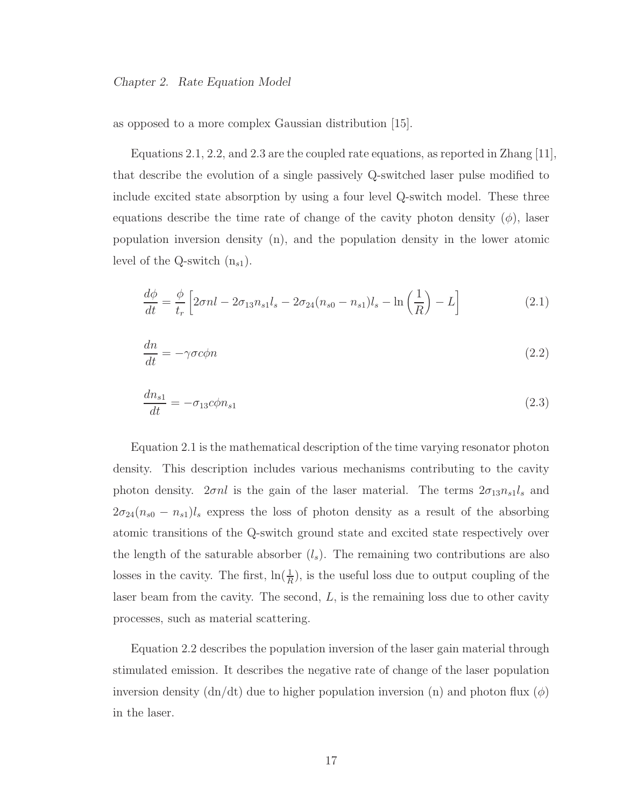as opposed to a more complex Gaussian distribution [15].

Equations 2.1, 2.2, and 2.3 are the coupled rate equations, as reported in Zhang [11], that describe the evolution of a single passively Q-switched laser pulse modified to include excited state absorption by using a four level Q-switch model. These three equations describe the time rate of change of the cavity photon density  $(\phi)$ , laser population inversion density (n), and the population density in the lower atomic level of the Q-switch  $(n_{s1})$ .

$$
\frac{d\phi}{dt} = \frac{\phi}{t_r} \left[ 2\sigma n l - 2\sigma_{13} n_{s1} l_s - 2\sigma_{24} (n_{s0} - n_{s1}) l_s - \ln\left(\frac{1}{R}\right) - L \right]
$$
\n(2.1)

$$
\frac{dn}{dt} = -\gamma \sigma c \phi n \tag{2.2}
$$

$$
\frac{dn_{s1}}{dt} = -\sigma_{13}c\phi n_{s1} \tag{2.3}
$$

Equation 2.1 is the mathematical description of the time varying resonator photon density. This description includes various mechanisms contributing to the cavity photon density.  $2\sigma nl$  is the gain of the laser material. The terms  $2\sigma_{13}n_{s1}l_s$  and  $2\sigma_{24}(n_{s0} - n_{s1})l_s$  express the loss of photon density as a result of the absorbing atomic transitions of the Q-switch ground state and excited state respectively over the length of the saturable absorber  $(l_s)$ . The remaining two contributions are also losses in the cavity. The first,  $\ln(\frac{1}{R})$ , is the useful loss due to output coupling of the laser beam from the cavity. The second,  $L$ , is the remaining loss due to other cavity processes, such as material scattering.

Equation 2.2 describes the population inversion of the laser gain material through stimulated emission. It describes the negative rate of change of the laser population inversion density  $(dn/dt)$  due to higher population inversion (n) and photon flux  $(\phi)$ in the laser.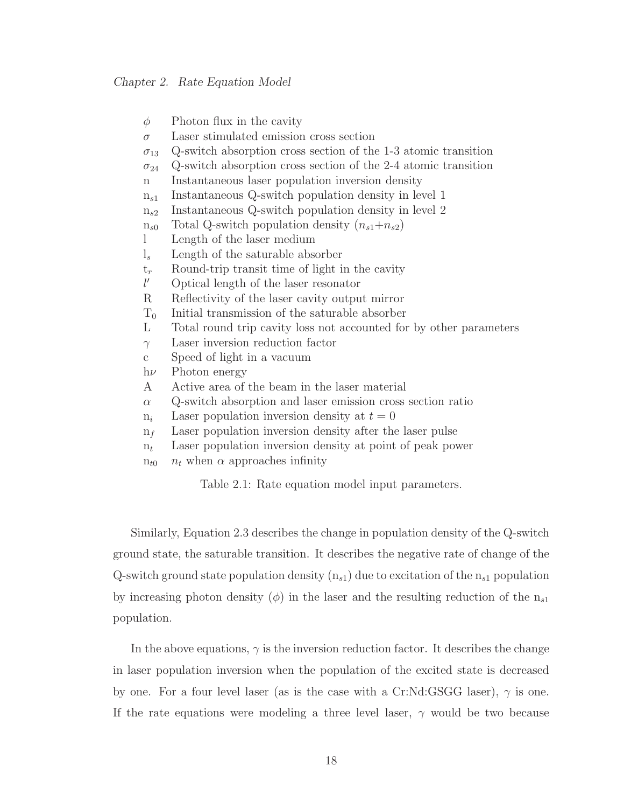$\phi$  Photon flux in the cavity

 $\sigma$  Laser stimulated emission cross section

 $\sigma_{13}$  Q-switch absorption cross section of the 1-3 atomic transition

 $\sigma_{24}$  Q-switch absorption cross section of the 2-4 atomic transition

n Instantaneous laser population inversion density

 $n_{s1}$  Instantaneous Q-switch population density in level 1

 $n_{s2}$  Instantaneous Q-switch population density in level 2

 $n_{s0}$  Total Q-switch population density  $(n_{s1}+n_{s2})$ 

l Length of the laser medium

 $l<sub>s</sub>$  Length of the saturable absorber

 $t_r$  Round-trip transit time of light in the cavity

 $l'$ ′ Optical length of the laser resonator

R Reflectivity of the laser cavity output mirror

 $T_0$  Initial transmission of the saturable absorber

L Total round trip cavity loss not accounted for by other parameters

 $\gamma$  Laser inversion reduction factor

c Speed of light in a vacuum

 $h\nu$  Photon energy

A Active area of the beam in the laser material

 $\alpha$  Q-switch absorption and laser emission cross section ratio

 $n_i$  Laser population inversion density at  $t = 0$ 

 $n_f$  Laser population inversion density after the laser pulse

 $n_t$  Laser population inversion density at point of peak power

 $n_{t0}$   $n_t$  when  $\alpha$  approaches infinity

Table 2.1: Rate equation model input parameters.

Similarly, Equation 2.3 describes the change in population density of the Q-switch ground state, the saturable transition. It describes the negative rate of change of the Q-switch ground state population density  $(n_{s1})$  due to excitation of the  $n_{s1}$  population by increasing photon density  $(\phi)$  in the laser and the resulting reduction of the  $n_{s1}$ population.

In the above equations,  $\gamma$  is the inversion reduction factor. It describes the change in laser population inversion when the population of the excited state is decreased by one. For a four level laser (as is the case with a Cr:Nd:GSGG laser),  $\gamma$  is one. If the rate equations were modeling a three level laser,  $\gamma$  would be two because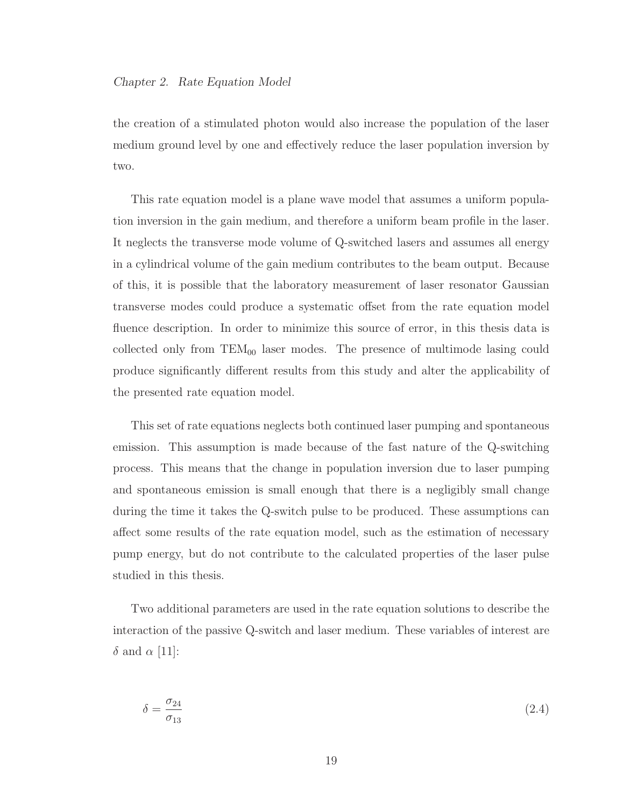the creation of a stimulated photon would also increase the population of the laser medium ground level by one and effectively reduce the laser population inversion by two.

This rate equation model is a plane wave model that assumes a uniform population inversion in the gain medium, and therefore a uniform beam profile in the laser. It neglects the transverse mode volume of Q-switched lasers and assumes all energy in a cylindrical volume of the gain medium contributes to the beam output. Because of this, it is possible that the laboratory measurement of laser resonator Gaussian transverse modes could produce a systematic offset from the rate equation model fluence description. In order to minimize this source of error, in this thesis data is collected only from  $TEM_{00}$  laser modes. The presence of multimode lasing could produce significantly different results from this study and alter the applicability of the presented rate equation model.

This set of rate equations neglects both continued laser pumping and spontaneous emission. This assumption is made because of the fast nature of the Q-switching process. This means that the change in population inversion due to laser pumping and spontaneous emission is small enough that there is a negligibly small change during the time it takes the Q-switch pulse to be produced. These assumptions can affect some results of the rate equation model, such as the estimation of necessary pump energy, but do not contribute to the calculated properties of the laser pulse studied in this thesis.

Two additional parameters are used in the rate equation solutions to describe the interaction of the passive Q-switch and laser medium. These variables of interest are  $\delta$  and  $\alpha$  [11]:

$$
\delta = \frac{\sigma_{24}}{\sigma_{13}}\tag{2.4}
$$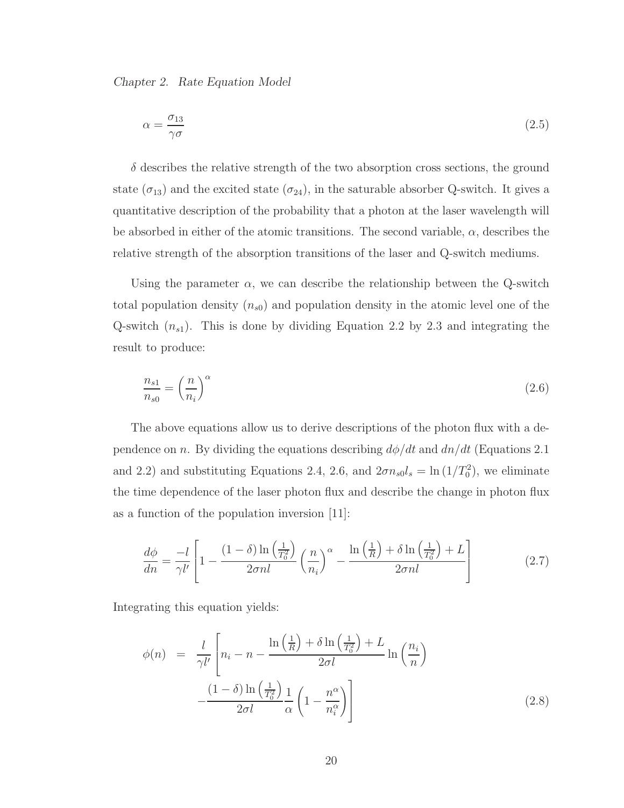$$
\alpha = \frac{\sigma_{13}}{\gamma \sigma} \tag{2.5}
$$

 $\delta$  describes the relative strength of the two absorption cross sections, the ground state  $(\sigma_{13})$  and the excited state  $(\sigma_{24})$ , in the saturable absorber Q-switch. It gives a quantitative description of the probability that a photon at the laser wavelength will be absorbed in either of the atomic transitions. The second variable,  $\alpha$ , describes the relative strength of the absorption transitions of the laser and Q-switch mediums.

Using the parameter  $\alpha$ , we can describe the relationship between the Q-switch total population density  $(n_{s0})$  and population density in the atomic level one of the Q-switch  $(n_{s1})$ . This is done by dividing Equation 2.2 by 2.3 and integrating the result to produce:

$$
\frac{n_{s1}}{n_{s0}} = \left(\frac{n}{n_i}\right)^{\alpha} \tag{2.6}
$$

The above equations allow us to derive descriptions of the photon flux with a dependence on n. By dividing the equations describing  $d\phi/dt$  and  $dn/dt$  (Equations 2.1) and 2.2) and substituting Equations 2.4, 2.6, and  $2\sigma n_{s0}l_s = \ln(1/T_0^2)$ , we eliminate the time dependence of the laser photon flux and describe the change in photon flux as a function of the population inversion [11]:

$$
\frac{d\phi}{dn} = \frac{-l}{\gamma l'} \left[ 1 - \frac{(1-\delta)\ln\left(\frac{1}{T_0^2}\right)}{2\sigma nl} \left(\frac{n}{n_i}\right)^\alpha - \frac{\ln\left(\frac{1}{R}\right) + \delta\ln\left(\frac{1}{T_0^2}\right) + L}{2\sigma nl} \right]
$$
(2.7)

Integrating this equation yields:

$$
\phi(n) = \frac{l}{\gamma l'} \left[ n_i - n - \frac{\ln\left(\frac{1}{R}\right) + \delta \ln\left(\frac{1}{T_0^2}\right) + L}{2\sigma l} \ln\left(\frac{n_i}{n}\right) - \frac{\left(1 - \delta\right) \ln\left(\frac{1}{T_0^2}\right)}{2\sigma l} \frac{1}{\alpha} \left(1 - \frac{n^{\alpha}}{n_i^{\alpha}}\right) \right]
$$
\n(2.8)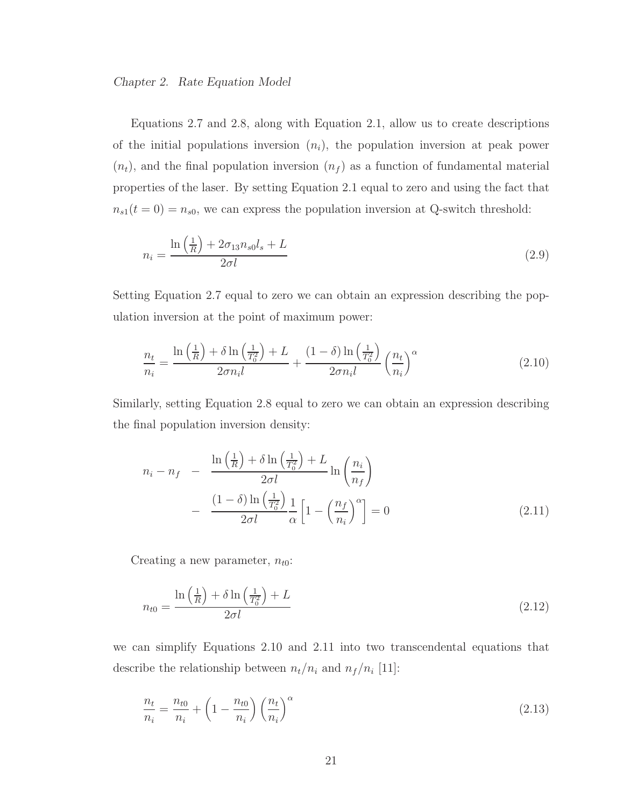Equations 2.7 and 2.8, along with Equation 2.1, allow us to create descriptions of the initial populations inversion  $(n_i)$ , the population inversion at peak power  $(n_t)$ , and the final population inversion  $(n_f)$  as a function of fundamental material properties of the laser. By setting Equation 2.1 equal to zero and using the fact that  $n_{s1}(t = 0) = n_{s0}$ , we can express the population inversion at Q-switch threshold:

$$
n_i = \frac{\ln\left(\frac{1}{R}\right) + 2\sigma_{13}n_{s0}l_s + L}{2\sigma l} \tag{2.9}
$$

Setting Equation 2.7 equal to zero we can obtain an expression describing the population inversion at the point of maximum power:

$$
\frac{n_t}{n_i} = \frac{\ln\left(\frac{1}{R}\right) + \delta \ln\left(\frac{1}{T_0^2}\right) + L}{2\sigma n_i l} + \frac{(1-\delta)\ln\left(\frac{1}{T_0^2}\right)}{2\sigma n_i l} \left(\frac{n_t}{n_i}\right)^{\alpha} \tag{2.10}
$$

Similarly, setting Equation 2.8 equal to zero we can obtain an expression describing the final population inversion density:

$$
n_{i} - n_{f} - \frac{\ln\left(\frac{1}{R}\right) + \delta \ln\left(\frac{1}{T_{0}^{2}}\right) + L}{2\sigma l} \ln\left(\frac{n_{i}}{n_{f}}\right)
$$

$$
- \frac{(1-\delta)\ln\left(\frac{1}{T_{0}^{2}}\right)}{2\sigma l} \frac{1}{\alpha} \left[1 - \left(\frac{n_{f}}{n_{i}}\right)^{\alpha}\right] = 0 \tag{2.11}
$$

Creating a new parameter,  $n_{t0}$ :

$$
n_{t0} = \frac{\ln\left(\frac{1}{R}\right) + \delta \ln\left(\frac{1}{T_0^2}\right) + L}{2\sigma l} \tag{2.12}
$$

we can simplify Equations 2.10 and 2.11 into two transcendental equations that describe the relationship between  $n_t/n_i$  and  $n_f/n_i$  [11]:

$$
\frac{n_t}{n_i} = \frac{n_{t0}}{n_i} + \left(1 - \frac{n_{t0}}{n_i}\right) \left(\frac{n_t}{n_i}\right)^\alpha \tag{2.13}
$$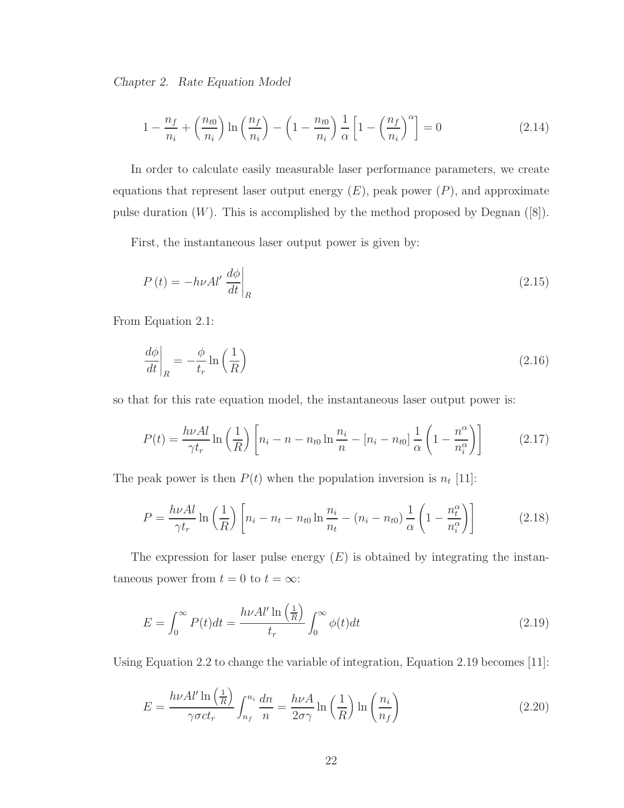$$
1 - \frac{n_f}{n_i} + \left(\frac{n_{t0}}{n_i}\right) \ln\left(\frac{n_f}{n_i}\right) - \left(1 - \frac{n_{t0}}{n_i}\right) \frac{1}{\alpha} \left[1 - \left(\frac{n_f}{n_i}\right)^{\alpha}\right] = 0 \tag{2.14}
$$

In order to calculate easily measurable laser performance parameters, we create equations that represent laser output energy  $(E)$ , peak power  $(P)$ , and approximate pulse duration  $(W)$ . This is accomplished by the method proposed by Degnan  $([8])$ .

First, the instantaneous laser output power is given by:

$$
P(t) = -h\nu A l' \left. \frac{d\phi}{dt} \right|_{R} \tag{2.15}
$$

From Equation 2.1:

$$
\left. \frac{d\phi}{dt} \right|_{R} = -\frac{\phi}{t_r} \ln\left(\frac{1}{R}\right) \tag{2.16}
$$

so that for this rate equation model, the instantaneous laser output power is:

$$
P(t) = \frac{h\nu A l}{\gamma t_r} \ln\left(\frac{1}{R}\right) \left[ n_i - n - n_{t0} \ln\frac{n_i}{n} - [n_i - n_{t0}] \frac{1}{\alpha} \left( 1 - \frac{n^{\alpha}}{n_i^{\alpha}} \right) \right]
$$
(2.17)

The peak power is then  $P(t)$  when the population inversion is  $n_t$  [11]:

$$
P = \frac{h\nu A l}{\gamma t_r} \ln\left(\frac{1}{R}\right) \left[ n_i - n_t - n_{t0} \ln\frac{n_i}{n_t} - (n_i - n_{t0}) \frac{1}{\alpha} \left( 1 - \frac{n_t^{\alpha}}{n_i^{\alpha}} \right) \right]
$$
(2.18)

The expression for laser pulse energy  $(E)$  is obtained by integrating the instantaneous power from  $t = 0$  to  $t = \infty$ :

$$
E = \int_0^\infty P(t)dt = \frac{h\nu A l' \ln\left(\frac{1}{R}\right)}{t_r} \int_0^\infty \phi(t)dt
$$
\n(2.19)

Using Equation 2.2 to change the variable of integration, Equation 2.19 becomes [11]:

$$
E = \frac{h\nu A l' \ln\left(\frac{1}{R}\right)}{\gamma \sigma c t_r} \int_{n_f}^{n_i} \frac{dn}{n} = \frac{h\nu A}{2\sigma \gamma} \ln\left(\frac{1}{R}\right) \ln\left(\frac{n_i}{n_f}\right) \tag{2.20}
$$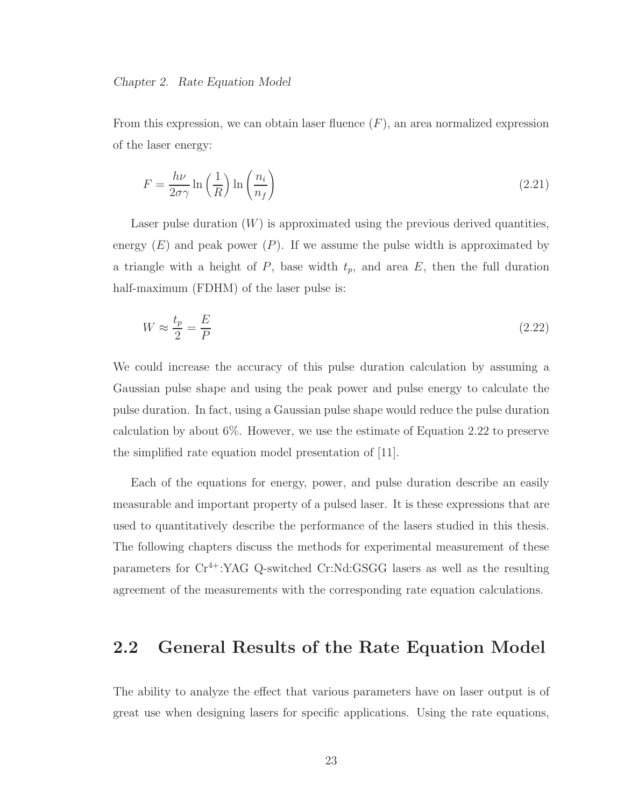From this expression, we can obtain laser fluence  $(F)$ , an area normalized expression of the laser energy:

$$
F = \frac{h\nu}{2\sigma\gamma} \ln\left(\frac{1}{R}\right) \ln\left(\frac{n_i}{n_f}\right) \tag{2.21}
$$

Laser pulse duration  $(W)$  is approximated using the previous derived quantities, energy  $(E)$  and peak power  $(P)$ . If we assume the pulse width is approximated by a triangle with a height of  $P$ , base width  $t_p$ , and area  $E$ , then the full duration half-maximum (FDHM) of the laser pulse is:

$$
W \approx \frac{t_p}{2} = \frac{E}{P} \tag{2.22}
$$

We could increase the accuracy of this pulse duration calculation by assuming a Gaussian pulse shape and using the peak power and pulse energy to calculate the pulse duration. In fact, using a Gaussian pulse shape would reduce the pulse duration calculation by about 6%. However, we use the estimate of Equation 2.22 to preserve the simplified rate equation model presentation of [11].

Each of the equations for energy, power, and pulse duration describe an easily measurable and important property of a pulsed laser. It is these expressions that are used to quantitatively describe the performance of the lasers studied in this thesis. The following chapters discuss the methods for experimental measurement of these parameters for  $Cr^{4+}$ :YAG Q-switched Cr:Nd:GSGG lasers as well as the resulting agreement of the measurements with the corresponding rate equation calculations.

### 2.2 General Results of the Rate Equation Model

The ability to analyze the effect that various parameters have on laser output is of great use when designing lasers for specific applications. Using the rate equations,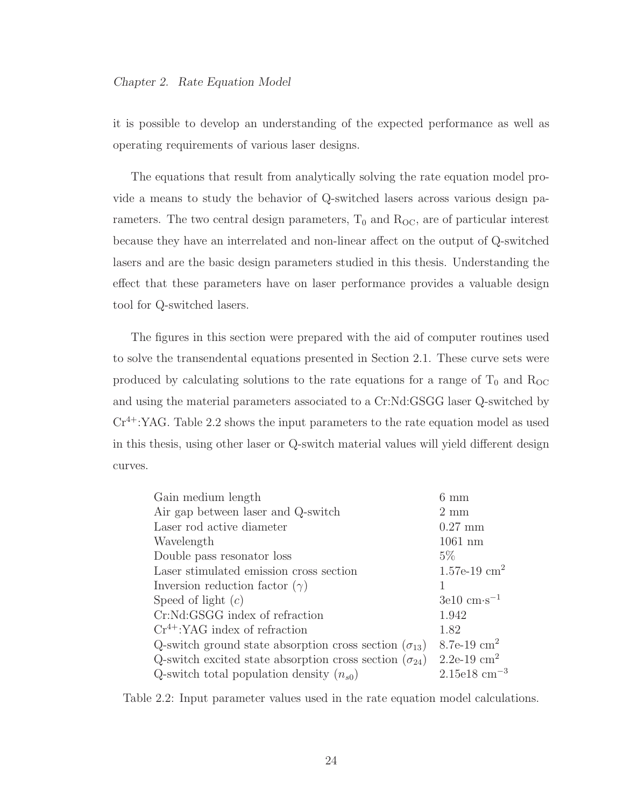it is possible to develop an understanding of the expected performance as well as operating requirements of various laser designs.

The equations that result from analytically solving the rate equation model provide a means to study the behavior of Q-switched lasers across various design parameters. The two central design parameters,  $T_0$  and  $R_{OC}$ , are of particular interest because they have an interrelated and non-linear affect on the output of Q-switched lasers and are the basic design parameters studied in this thesis. Understanding the effect that these parameters have on laser performance provides a valuable design tool for Q-switched lasers.

The figures in this section were prepared with the aid of computer routines used to solve the transendental equations presented in Section 2.1. These curve sets were produced by calculating solutions to the rate equations for a range of  $T_0$  and  $R_{OC}$ and using the material parameters associated to a Cr:Nd:GSGG laser Q-switched by  $Cr^{4+}$ :YAG. Table 2.2 shows the input parameters to the rate equation model as used in this thesis, using other laser or Q-switch material values will yield different design curves.

| Gain medium length                                              | $6 \text{ mm}$                        |
|-----------------------------------------------------------------|---------------------------------------|
| Air gap between laser and Q-switch                              | $2 \text{ mm}$                        |
| Laser rod active diameter                                       | $0.27$ mm                             |
| Wavelength                                                      | $1061$ nm                             |
| Double pass resonator loss                                      | $5\%$                                 |
| Laser stimulated emission cross section                         | $1.57e-19$ cm <sup>2</sup>            |
| Inversion reduction factor $(\gamma)$                           |                                       |
| Speed of light $(c)$                                            | $3e10 \text{ cm} \cdot \text{s}^{-1}$ |
| Cr:Nd:GSGG index of refraction                                  | 1.942                                 |
| $Cr^{4+}$ :YAG index of refraction                              | 1.82                                  |
| Q-switch ground state absorption cross section $(\sigma_{13})$  | 8.7e-19 $\rm cm^2$                    |
| Q-switch excited state absorption cross section $(\sigma_{24})$ | $2.2e-19$ cm <sup>2</sup>             |
| Q-switch total population density $(n_{s0})$                    | $2.15e18$ cm <sup>-3</sup>            |

Table 2.2: Input parameter values used in the rate equation model calculations.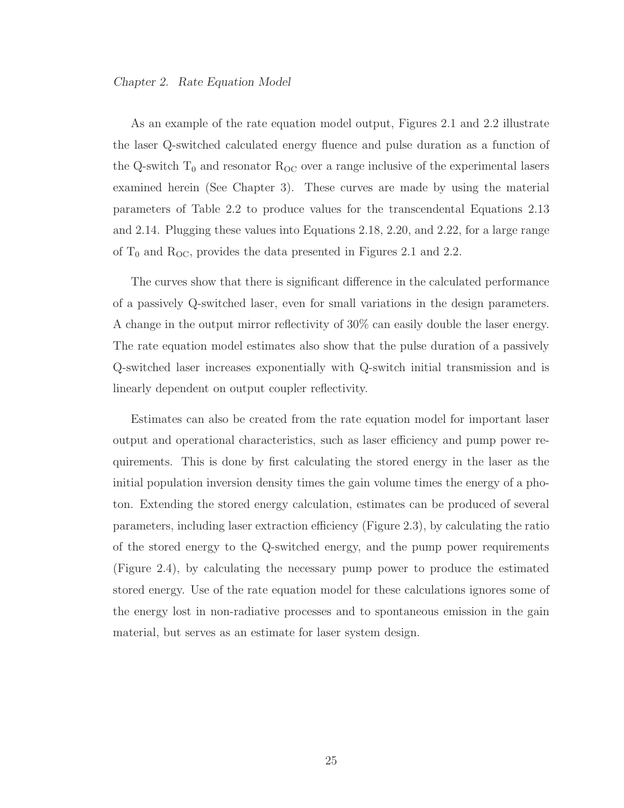#### Chapter 2. Rate Equation Model

As an example of the rate equation model output, Figures 2.1 and 2.2 illustrate the laser Q-switched calculated energy fluence and pulse duration as a function of the Q-switch  $T_0$  and resonator  $R_{OC}$  over a range inclusive of the experimental lasers examined herein (See Chapter 3). These curves are made by using the material parameters of Table 2.2 to produce values for the transcendental Equations 2.13 and 2.14. Plugging these values into Equations 2.18, 2.20, and 2.22, for a large range of  $T_0$  and  $R_{\text{OC}}$ , provides the data presented in Figures 2.1 and 2.2.

The curves show that there is significant difference in the calculated performance of a passively Q-switched laser, even for small variations in the design parameters. A change in the output mirror reflectivity of 30% can easily double the laser energy. The rate equation model estimates also show that the pulse duration of a passively Q-switched laser increases exponentially with Q-switch initial transmission and is linearly dependent on output coupler reflectivity.

Estimates can also be created from the rate equation model for important laser output and operational characteristics, such as laser efficiency and pump power requirements. This is done by first calculating the stored energy in the laser as the initial population inversion density times the gain volume times the energy of a photon. Extending the stored energy calculation, estimates can be produced of several parameters, including laser extraction efficiency (Figure 2.3), by calculating the ratio of the stored energy to the Q-switched energy, and the pump power requirements (Figure 2.4), by calculating the necessary pump power to produce the estimated stored energy. Use of the rate equation model for these calculations ignores some of the energy lost in non-radiative processes and to spontaneous emission in the gain material, but serves as an estimate for laser system design.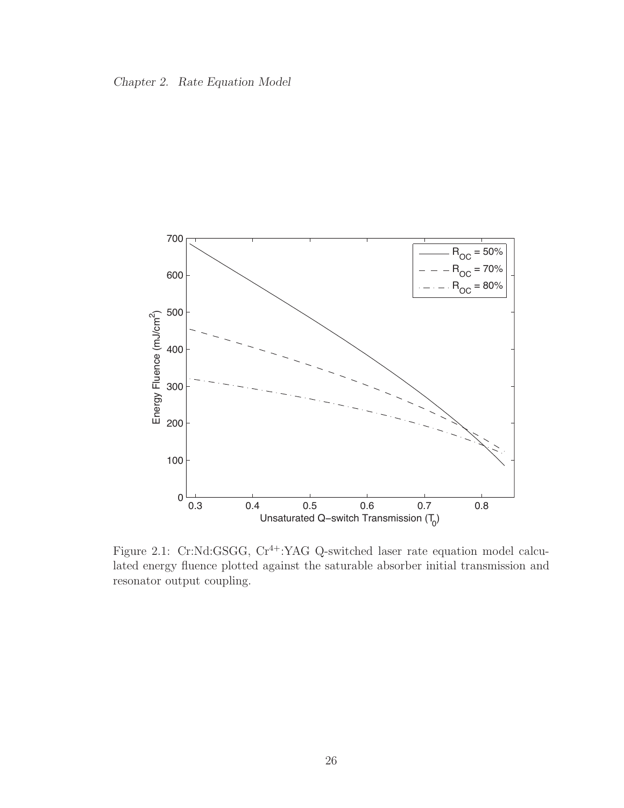



Figure 2.1: Cr:Nd:GSGG, Cr<sup>4+</sup>:YAG Q-switched laser rate equation model calculated energy fluence plotted against the saturable absorber initial transmission and resonator output coupling.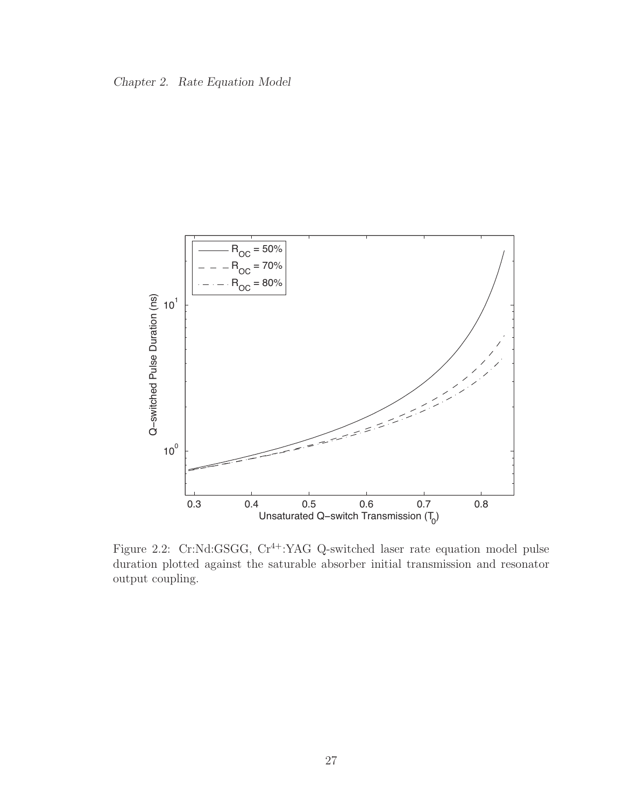



Figure 2.2: Cr:Nd:GSGG, Cr<sup>4+</sup>:YAG Q-switched laser rate equation model pulse duration plotted against the saturable absorber initial transmission and resonator output coupling.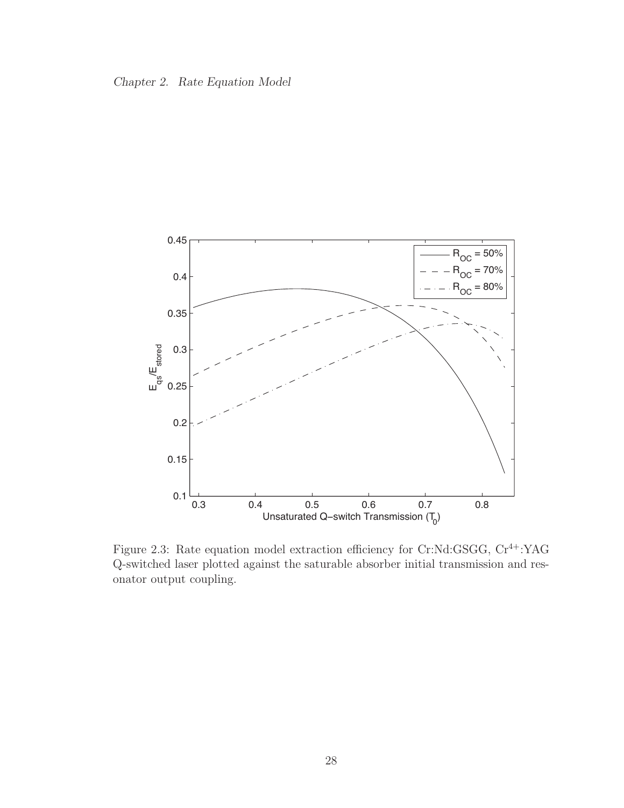



Figure 2.3: Rate equation model extraction efficiency for Cr:Nd:GSGG,  $Cr^{4+}$ :YAG Q-switched laser plotted against the saturable absorber initial transmission and resonator output coupling.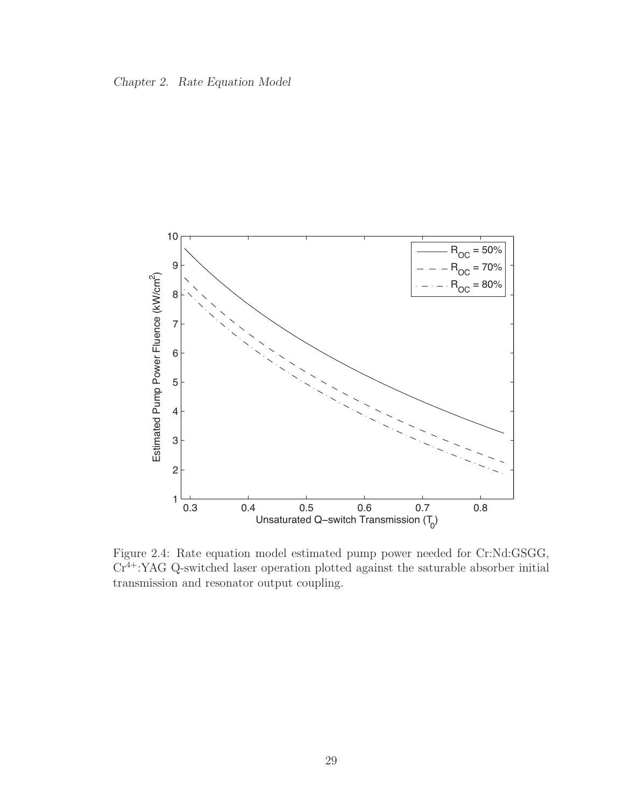



Figure 2.4: Rate equation model estimated pump power needed for Cr:Nd:GSGG, Cr4+:YAG Q-switched laser operation plotted against the saturable absorber initial transmission and resonator output coupling.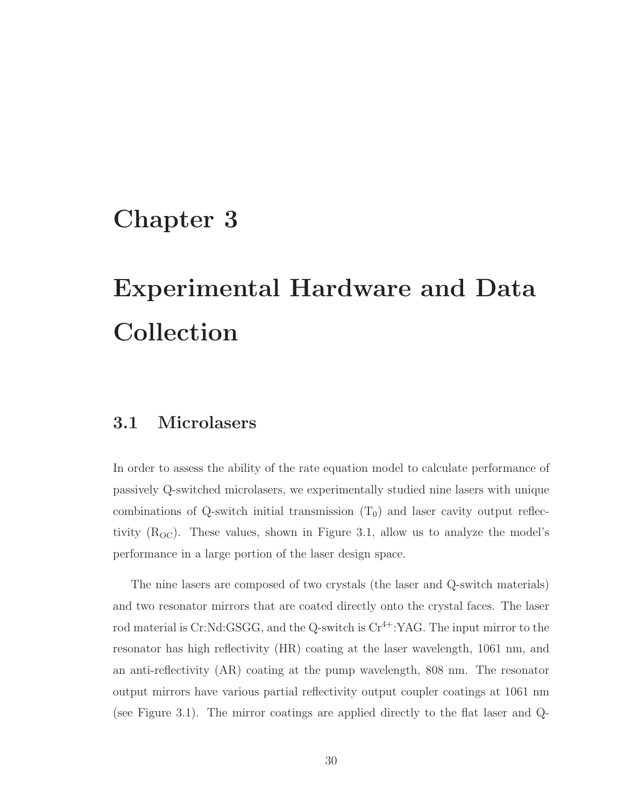## Chapter 3

# Experimental Hardware and Data Collection

## 3.1 Microlasers

In order to assess the ability of the rate equation model to calculate performance of passively Q-switched microlasers, we experimentally studied nine lasers with unique combinations of Q-switch initial transmission  $(T_0)$  and laser cavity output reflectivity  $(R<sub>OC</sub>)$ . These values, shown in Figure 3.1, allow us to analyze the model's performance in a large portion of the laser design space.

The nine lasers are composed of two crystals (the laser and Q-switch materials) and two resonator mirrors that are coated directly onto the crystal faces. The laser rod material is Cr:Nd:GSGG, and the Q-switch is  $Cr^{4+}$ :YAG. The input mirror to the resonator has high reflectivity (HR) coating at the laser wavelength, 1061 nm, and an anti-reflectivity (AR) coating at the pump wavelength, 808 nm. The resonator output mirrors have various partial reflectivity output coupler coatings at 1061 nm (see Figure 3.1). The mirror coatings are applied directly to the flat laser and Q-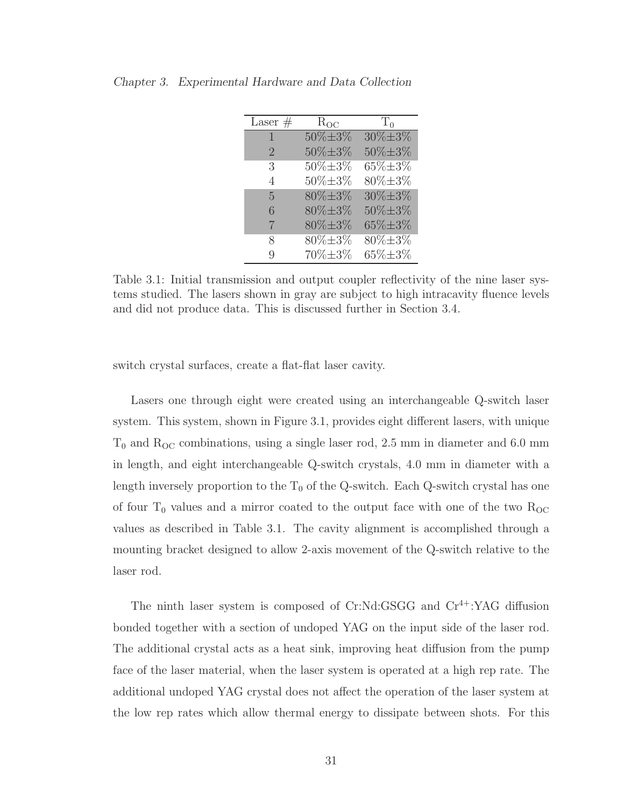| Laser $#$      | $R_{OC}$       | $T_0$                     |
|----------------|----------------|---------------------------|
| $\mathbf{1}$   | 50%±3%         | $30\% \pm 3\%$            |
| $\overline{2}$ | 50%±3%         | 50%±3%                    |
| 3              | $30\% \pm 3\%$ | $\overline{65}\% \pm 3\%$ |
| 4              | 50%±3%         | 80%±3%                    |
| 5              | 80%±3%         | $30\% \pm 3\%$            |
| 6              | $80\% \pm 3\%$ | 50%±3%                    |
| 7              | 80%±3%         | 65%±3%                    |
| 8              | $80\% \pm 3\%$ | 80%±3%                    |
| Q              | 70%±3%         | 65% $\pm 3\%$             |

Chapter 3. Experimental Hardware and Data Collection

Table 3.1: Initial transmission and output coupler reflectivity of the nine laser systems studied. The lasers shown in gray are subject to high intracavity fluence levels and did not produce data. This is discussed further in Section 3.4.

switch crystal surfaces, create a flat-flat laser cavity.

Lasers one through eight were created using an interchangeable Q-switch laser system. This system, shown in Figure 3.1, provides eight different lasers, with unique  $T_0$  and  $R_{OC}$  combinations, using a single laser rod, 2.5 mm in diameter and 6.0 mm in length, and eight interchangeable Q-switch crystals, 4.0 mm in diameter with a length inversely proportion to the  $T_0$  of the Q-switch. Each Q-switch crystal has one of four  $T_0$  values and a mirror coated to the output face with one of the two  $R_{OC}$ values as described in Table 3.1. The cavity alignment is accomplished through a mounting bracket designed to allow 2-axis movement of the Q-switch relative to the laser rod.

The ninth laser system is composed of Cr:Nd:GSGG and Cr<sup>4+</sup>:YAG diffusion bonded together with a section of undoped YAG on the input side of the laser rod. The additional crystal acts as a heat sink, improving heat diffusion from the pump face of the laser material, when the laser system is operated at a high rep rate. The additional undoped YAG crystal does not affect the operation of the laser system at the low rep rates which allow thermal energy to dissipate between shots. For this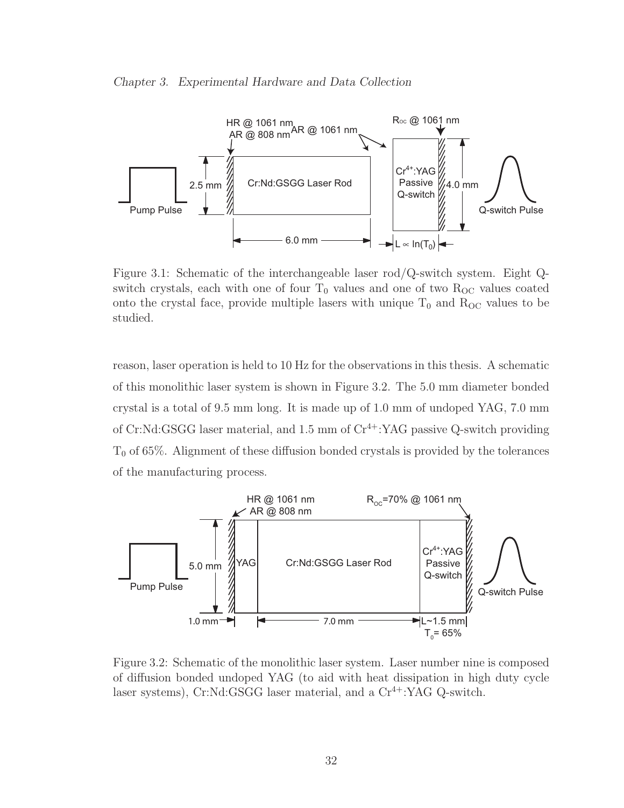#### Chapter 3. Experimental Hardware and Data Collection



Figure 3.1: Schematic of the interchangeable laser rod/Q-switch system. Eight Qswitch crystals, each with one of four  $T_0$  values and one of two  $R_{OC}$  values coated onto the crystal face, provide multiple lasers with unique  $T_0$  and  $R_{OC}$  values to be studied.

reason, laser operation is held to 10 Hz for the observations in this thesis. A schematic of this monolithic laser system is shown in Figure 3.2. The 5.0 mm diameter bonded crystal is a total of 9.5 mm long. It is made up of 1.0 mm of undoped YAG, 7.0 mm of Cr:Nd:GSGG laser material, and  $1.5 \text{ mm}$  of  $\text{Cr}^{4+}$ :YAG passive Q-switch providing  $T<sub>0</sub>$  of 65%. Alignment of these diffusion bonded crystals is provided by the tolerances of the manufacturing process.



Figure 3.2: Schematic of the monolithic laser system. Laser number nine is composed of diffusion bonded undoped YAG (to aid with heat dissipation in high duty cycle laser systems), Cr:Nd:GSGG laser material, and a  $Cr^{4+}$ :YAG Q-switch.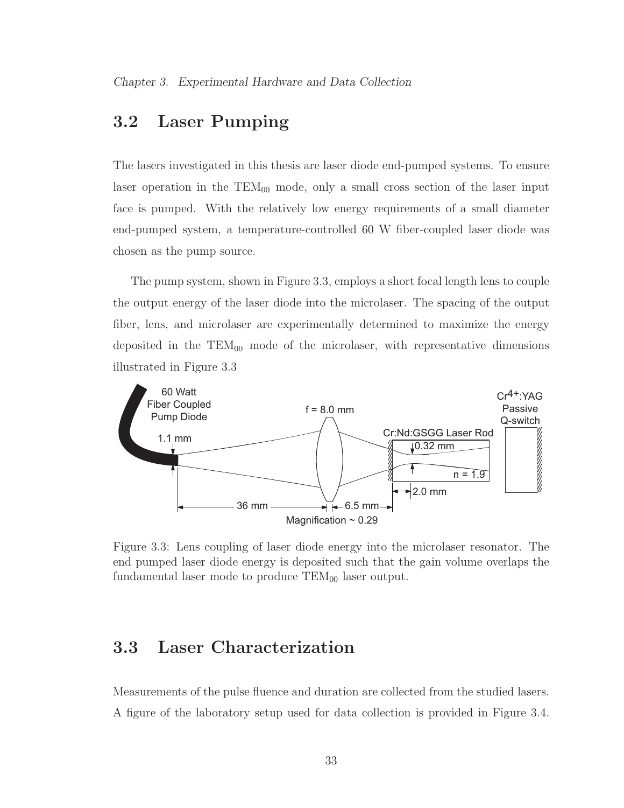## 3.2 Laser Pumping

The lasers investigated in this thesis are laser diode end-pumped systems. To ensure laser operation in the  $TEM_{00}$  mode, only a small cross section of the laser input face is pumped. With the relatively low energy requirements of a small diameter end-pumped system, a temperature-controlled 60 W fiber-coupled laser diode was chosen as the pump source.

The pump system, shown in Figure 3.3, employs a short focal length lens to couple the output energy of the laser diode into the microlaser. The spacing of the output fiber, lens, and microlaser are experimentally determined to maximize the energy deposited in the  $TEM_{00}$  mode of the microlaser, with representative dimensions illustrated in Figure 3.3



Figure 3.3: Lens coupling of laser diode energy into the microlaser resonator. The end pumped laser diode energy is deposited such that the gain volume overlaps the fundamental laser mode to produce  $TEM_{00}$  laser output.

## 3.3 Laser Characterization

Measurements of the pulse fluence and duration are collected from the studied lasers. A figure of the laboratory setup used for data collection is provided in Figure 3.4.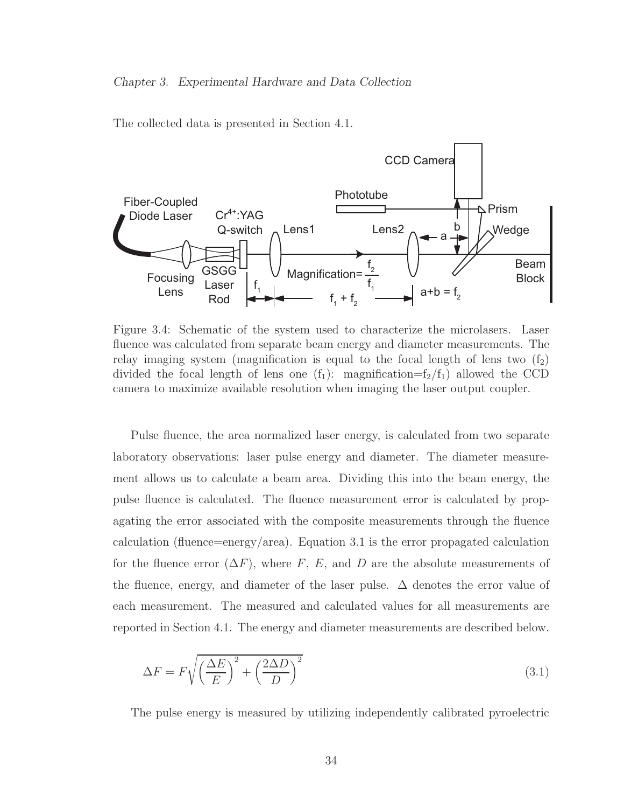The collected data is presented in Section 4.1.



Figure 3.4: Schematic of the system used to characterize the microlasers. Laser fluence was calculated from separate beam energy and diameter measurements. The relay imaging system (magnification is equal to the focal length of lens two  $(f_2)$ ) divided the focal length of lens one  $(f_1)$ : magnification= $f_2/f_1$ ) allowed the CCD camera to maximize available resolution when imaging the laser output coupler.

Pulse fluence, the area normalized laser energy, is calculated from two separate laboratory observations: laser pulse energy and diameter. The diameter measurement allows us to calculate a beam area. Dividing this into the beam energy, the pulse fluence is calculated. The fluence measurement error is calculated by propagating the error associated with the composite measurements through the fluence calculation (fluence=energy/area). Equation 3.1 is the error propagated calculation for the fluence error  $(\Delta F)$ , where F, E, and D are the absolute measurements of the fluence, energy, and diameter of the laser pulse.  $\Delta$  denotes the error value of each measurement. The measured and calculated values for all measurements are reported in Section 4.1. The energy and diameter measurements are described below.

$$
\Delta F = F \sqrt{\left(\frac{\Delta E}{E}\right)^2 + \left(\frac{2\Delta D}{D}\right)^2} \tag{3.1}
$$

The pulse energy is measured by utilizing independently calibrated pyroelectric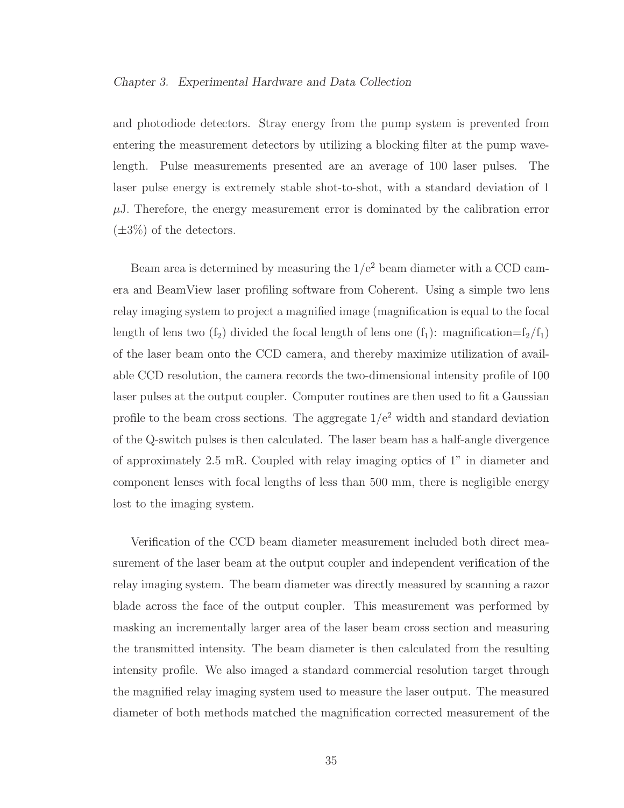#### Chapter 3. Experimental Hardware and Data Collection

and photodiode detectors. Stray energy from the pump system is prevented from entering the measurement detectors by utilizing a blocking filter at the pump wavelength. Pulse measurements presented are an average of 100 laser pulses. The laser pulse energy is extremely stable shot-to-shot, with a standard deviation of 1  $\mu$ J. Therefore, the energy measurement error is dominated by the calibration error  $(\pm 3\%)$  of the detectors.

Beam area is determined by measuring the  $1/e<sup>2</sup>$  beam diameter with a CCD camera and BeamView laser profiling software from Coherent. Using a simple two lens relay imaging system to project a magnified image (magnification is equal to the focal length of lens two  $(f_2)$  divided the focal length of lens one  $(f_1)$ : magnification= $f_2/f_1$ ) of the laser beam onto the CCD camera, and thereby maximize utilization of available CCD resolution, the camera records the two-dimensional intensity profile of 100 laser pulses at the output coupler. Computer routines are then used to fit a Gaussian profile to the beam cross sections. The aggregate  $1/e<sup>2</sup>$  width and standard deviation of the Q-switch pulses is then calculated. The laser beam has a half-angle divergence of approximately 2.5 mR. Coupled with relay imaging optics of 1" in diameter and component lenses with focal lengths of less than 500 mm, there is negligible energy lost to the imaging system.

Verification of the CCD beam diameter measurement included both direct measurement of the laser beam at the output coupler and independent verification of the relay imaging system. The beam diameter was directly measured by scanning a razor blade across the face of the output coupler. This measurement was performed by masking an incrementally larger area of the laser beam cross section and measuring the transmitted intensity. The beam diameter is then calculated from the resulting intensity profile. We also imaged a standard commercial resolution target through the magnified relay imaging system used to measure the laser output. The measured diameter of both methods matched the magnification corrected measurement of the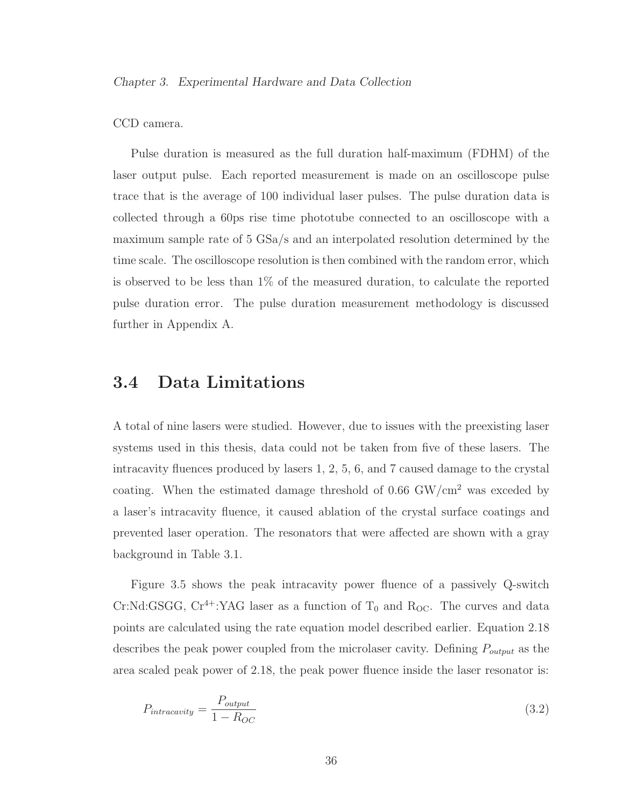### CCD camera.

Pulse duration is measured as the full duration half-maximum (FDHM) of the laser output pulse. Each reported measurement is made on an oscilloscope pulse trace that is the average of 100 individual laser pulses. The pulse duration data is collected through a 60ps rise time phototube connected to an oscilloscope with a maximum sample rate of 5 GSa/s and an interpolated resolution determined by the time scale. The oscilloscope resolution is then combined with the random error, which is observed to be less than 1% of the measured duration, to calculate the reported pulse duration error. The pulse duration measurement methodology is discussed further in Appendix A.

### 3.4 Data Limitations

A total of nine lasers were studied. However, due to issues with the preexisting laser systems used in this thesis, data could not be taken from five of these lasers. The intracavity fluences produced by lasers 1, 2, 5, 6, and 7 caused damage to the crystal coating. When the estimated damage threshold of  $0.66$   $\mathrm{GW/cm^2}$  was exceded by a laser's intracavity fluence, it caused ablation of the crystal surface coatings and prevented laser operation. The resonators that were affected are shown with a gray background in Table 3.1.

Figure 3.5 shows the peak intracavity power fluence of a passively Q-switch Cr:Nd:GSGG,  $Cr^{4+}$ :YAG laser as a function of T<sub>0</sub> and R<sub>OC</sub>. The curves and data points are calculated using the rate equation model described earlier. Equation 2.18 describes the peak power coupled from the microlaser cavity. Defining  $P_{output}$  as the area scaled peak power of 2.18, the peak power fluence inside the laser resonator is:

$$
P_{intracavity} = \frac{P_{output}}{1 - R_{OC}}
$$
\n(3.2)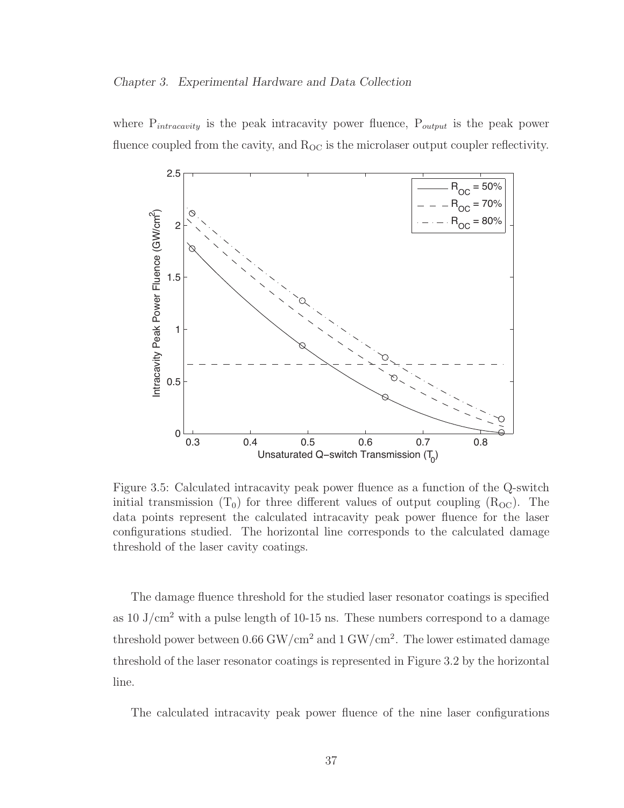where  $P_{intracavity}$  is the peak intracavity power fluence,  $P_{output}$  is the peak power fluence coupled from the cavity, and  $R_{OC}$  is the microlaser output coupler reflectivity.



Figure 3.5: Calculated intracavity peak power fluence as a function of the Q-switch initial transmission  $(T_0)$  for three different values of output coupling  $(R_{\text{OC}})$ . The data points represent the calculated intracavity peak power fluence for the laser configurations studied. The horizontal line corresponds to the calculated damage threshold of the laser cavity coatings.

The damage fluence threshold for the studied laser resonator coatings is specified as 10 J/cm<sup>2</sup> with a pulse length of 10-15 ns. These numbers correspond to a damage threshold power between  $0.66 \text{ GW/cm}^2$  and  $1 \text{ GW/cm}^2$ . The lower estimated damage threshold of the laser resonator coatings is represented in Figure 3.2 by the horizontal line.

The calculated intracavity peak power fluence of the nine laser configurations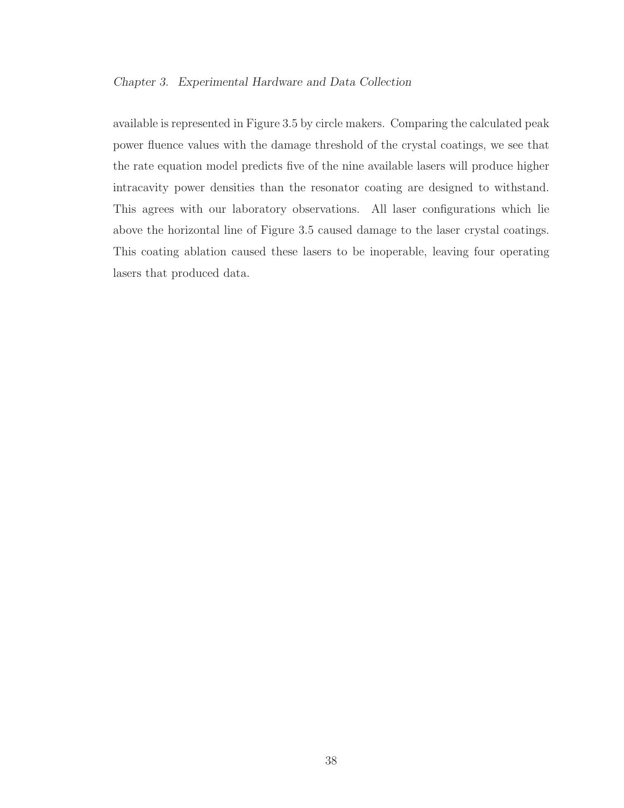#### Chapter 3. Experimental Hardware and Data Collection

available is represented in Figure 3.5 by circle makers. Comparing the calculated peak power fluence values with the damage threshold of the crystal coatings, we see that the rate equation model predicts five of the nine available lasers will produce higher intracavity power densities than the resonator coating are designed to withstand. This agrees with our laboratory observations. All laser configurations which lie above the horizontal line of Figure 3.5 caused damage to the laser crystal coatings. This coating ablation caused these lasers to be inoperable, leaving four operating lasers that produced data.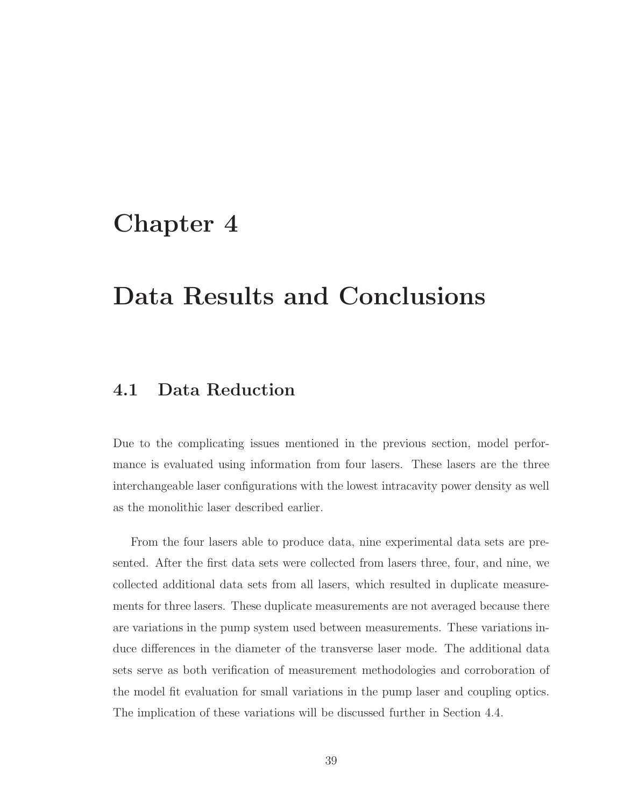## Chapter 4

## Data Results and Conclusions

## 4.1 Data Reduction

Due to the complicating issues mentioned in the previous section, model performance is evaluated using information from four lasers. These lasers are the three interchangeable laser configurations with the lowest intracavity power density as well as the monolithic laser described earlier.

From the four lasers able to produce data, nine experimental data sets are presented. After the first data sets were collected from lasers three, four, and nine, we collected additional data sets from all lasers, which resulted in duplicate measurements for three lasers. These duplicate measurements are not averaged because there are variations in the pump system used between measurements. These variations induce differences in the diameter of the transverse laser mode. The additional data sets serve as both verification of measurement methodologies and corroboration of the model fit evaluation for small variations in the pump laser and coupling optics. The implication of these variations will be discussed further in Section 4.4.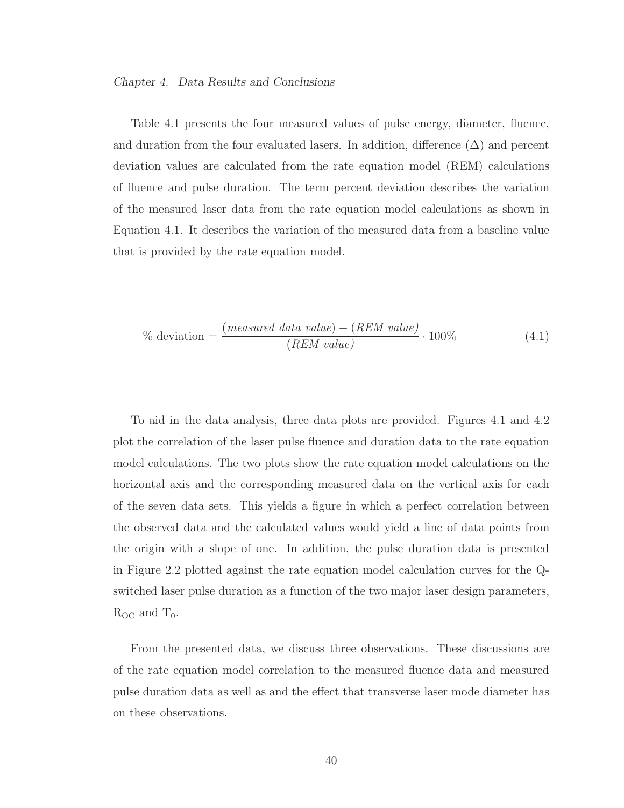Table 4.1 presents the four measured values of pulse energy, diameter, fluence, and duration from the four evaluated lasers. In addition, difference  $(\Delta)$  and percent deviation values are calculated from the rate equation model (REM) calculations of fluence and pulse duration. The term percent deviation describes the variation of the measured laser data from the rate equation model calculations as shown in Equation 4.1. It describes the variation of the measured data from a baseline value that is provided by the rate equation model.

$$
\% \text{ deviation} = \frac{(measured \text{ data value}) - (REM \text{ value})}{(REM \text{ value})} \cdot 100\% \tag{4.1}
$$

To aid in the data analysis, three data plots are provided. Figures 4.1 and 4.2 plot the correlation of the laser pulse fluence and duration data to the rate equation model calculations. The two plots show the rate equation model calculations on the horizontal axis and the corresponding measured data on the vertical axis for each of the seven data sets. This yields a figure in which a perfect correlation between the observed data and the calculated values would yield a line of data points from the origin with a slope of one. In addition, the pulse duration data is presented in Figure 2.2 plotted against the rate equation model calculation curves for the Qswitched laser pulse duration as a function of the two major laser design parameters,  $R_{OC}$  and  $T_0$ .

From the presented data, we discuss three observations. These discussions are of the rate equation model correlation to the measured fluence data and measured pulse duration data as well as and the effect that transverse laser mode diameter has on these observations.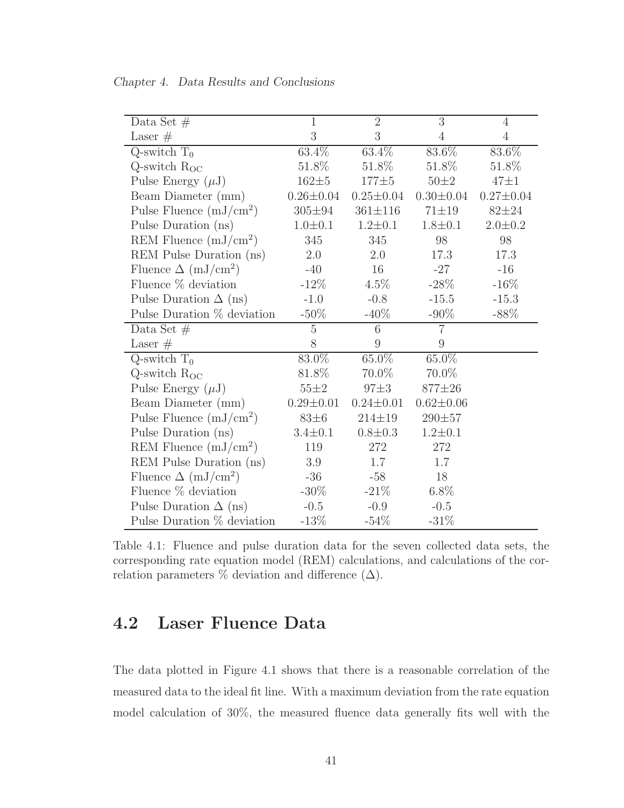| Data Set $#$                           | $\mathbf{1}$    | $\overline{2}$  | $\overline{3}$  | $\overline{4}$  |
|----------------------------------------|-----------------|-----------------|-----------------|-----------------|
| Laser $#$                              | 3               | 3               | $\overline{4}$  | $\overline{4}$  |
| $Q$ -switch $T_0$                      | 63.4%           | $63.4\%$        | 83.6%           | 83.6%           |
| $Q$ -switch $R_{OC}$                   | 51.8%           | 51.8%           | 51.8%           | 51.8%           |
| Pulse Energy $(\mu J)$                 | $162 + 5$       | $177 \pm 5$     | $50\pm2$        | $47\pm1$        |
| Beam Diameter (mm)                     | $0.26 \pm 0.04$ | $0.25 \pm 0.04$ | $0.30 \pm 0.04$ | $0.27 \pm 0.04$ |
| Pulse Fluence $(mJ/cm^2)$              | $305 \pm 94$    | $361 \pm 116$   | $71 \pm 19$     | $82 + 24$       |
| Pulse Duration (ns)                    | $1.0 \pm 0.1$   | $1.2 \pm 0.1$   | $1.8 \pm 0.1$   | $2.0 \pm 0.2$   |
| REM Fluence $(mJ/cm^2)$                | 345             | 345             | 98              | 98              |
| REM Pulse Duration (ns)                | 2.0             | 2.0             | 17.3            | 17.3            |
| Fluence $\Delta$ (mJ/cm <sup>2</sup> ) | $-40$           | 16              | $-27$           | $-16$           |
| Fluence $%$ deviation                  | $-12\%$         | $4.5\%$         | $-28\%$         | $-16%$          |
| Pulse Duration $\Delta$ (ns)           | $-1.0$          | $-0.8$          | $-15.5$         | $-15.3$         |
| Pulse Duration $%$ deviation           | $-50\%$         | $-40\%$         | $-90\%$         | $-88%$          |
| Data Set $#$                           | $\overline{5}$  | $\overline{6}$  | $\overline{7}$  |                 |
| Laser $#$                              | 8               | 9               | 9               |                 |
| $\overline{Q}$ -switch $T_0$           | 83.0%           | $65.0\%$        | $65.0\%$        |                 |
| Q-switch $R_{OC}$                      | 81.8%           | 70.0%           | 70.0%           |                 |
| Pulse Energy $(\mu J)$                 | $55\pm2$        | $97\pm3$        | 877±26          |                 |
| Beam Diameter (mm)                     | $0.29 \pm 0.01$ | $0.24 \pm 0.01$ | $0.62 \pm 0.06$ |                 |
| Pulse Fluence $(mJ/cm^2)$              | $83\pm6$        | $214 \pm 19$    | $290 + 57$      |                 |
| Pulse Duration (ns)                    | $3.4 \pm 0.1$   | $0.8 \pm 0.3$   | $1.2 \pm 0.1$   |                 |
| REM Fluence $(mJ/cm^2)$                | 119             | 272             | 272             |                 |
| REM Pulse Duration (ns)                | 3.9             | 1.7             | 1.7             |                 |
| Fluence $\Delta$ (mJ/cm <sup>2</sup> ) | $-36$           | $-58$           | 18              |                 |
| Fluence $\%$ deviation                 | $-30\%$         | $-21\%$         | $6.8\%$         |                 |
| Pulse Duration $\Delta$ (ns)           | $-0.5$          | $-0.9$          | $-0.5$          |                 |
| Pulse Duration % deviation             | $-13%$          | $-54\%$         | $-31\%$         |                 |

Chapter 4. Data Results and Conclusions

Table 4.1: Fluence and pulse duration data for the seven collected data sets, the corresponding rate equation model (REM) calculations, and calculations of the correlation parameters % deviation and difference  $(\Delta)$ .

## 4.2 Laser Fluence Data

The data plotted in Figure 4.1 shows that there is a reasonable correlation of the measured data to the ideal fit line. With a maximum deviation from the rate equation model calculation of 30%, the measured fluence data generally fits well with the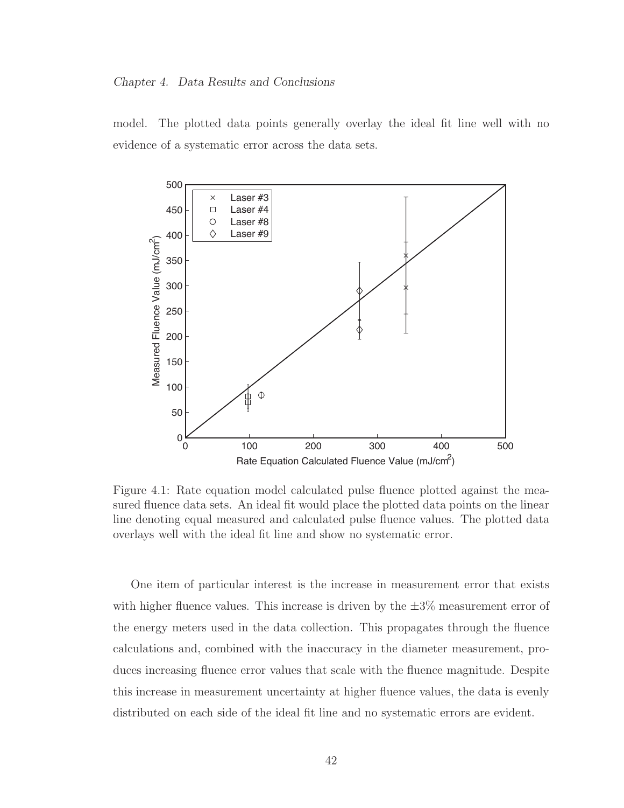model. The plotted data points generally overlay the ideal fit line well with no evidence of a systematic error across the data sets.



Figure 4.1: Rate equation model calculated pulse fluence plotted against the measured fluence data sets. An ideal fit would place the plotted data points on the linear line denoting equal measured and calculated pulse fluence values. The plotted data overlays well with the ideal fit line and show no systematic error.

One item of particular interest is the increase in measurement error that exists with higher fluence values. This increase is driven by the  $\pm 3\%$  measurement error of the energy meters used in the data collection. This propagates through the fluence calculations and, combined with the inaccuracy in the diameter measurement, produces increasing fluence error values that scale with the fluence magnitude. Despite this increase in measurement uncertainty at higher fluence values, the data is evenly distributed on each side of the ideal fit line and no systematic errors are evident.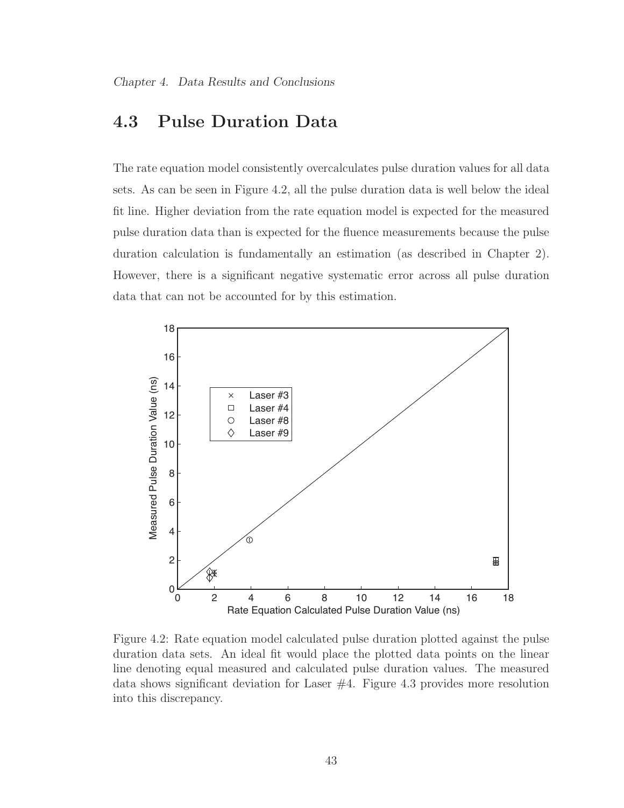## 4.3 Pulse Duration Data

The rate equation model consistently overcalculates pulse duration values for all data sets. As can be seen in Figure 4.2, all the pulse duration data is well below the ideal fit line. Higher deviation from the rate equation model is expected for the measured pulse duration data than is expected for the fluence measurements because the pulse duration calculation is fundamentally an estimation (as described in Chapter 2). However, there is a significant negative systematic error across all pulse duration data that can not be accounted for by this estimation.



Figure 4.2: Rate equation model calculated pulse duration plotted against the pulse duration data sets. An ideal fit would place the plotted data points on the linear line denoting equal measured and calculated pulse duration values. The measured data shows significant deviation for Laser #4. Figure 4.3 provides more resolution into this discrepancy.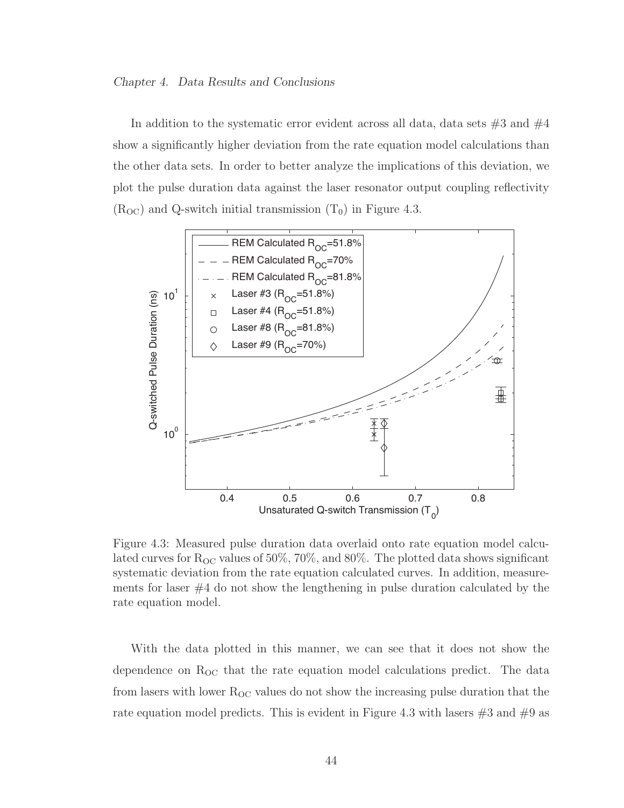In addition to the systematic error evident across all data, data sets  $\#3$  and  $\#4$ show a significantly higher deviation from the rate equation model calculations than the other data sets. In order to better analyze the implications of this deviation, we plot the pulse duration data against the laser resonator output coupling reflectivity  $(R_{\rm OC})$  and Q-switch initial transmission  $(T_0)$  in Figure 4.3.



Figure 4.3: Measured pulse duration data overlaid onto rate equation model calculated curves for  $R_{OC}$  values of 50%, 70%, and 80%. The plotted data shows significant systematic deviation from the rate equation calculated curves. In addition, measurements for laser  $#4$  do not show the lengthening in pulse duration calculated by the rate equation model.

With the data plotted in this manner, we can see that it does not show the dependence on  $R_{\text{OC}}$  that the rate equation model calculations predict. The data from lasers with lower  $R_{\text{OC}}$  values do not show the increasing pulse duration that the rate equation model predicts. This is evident in Figure 4.3 with lasers  $\#3$  and  $\#9$  as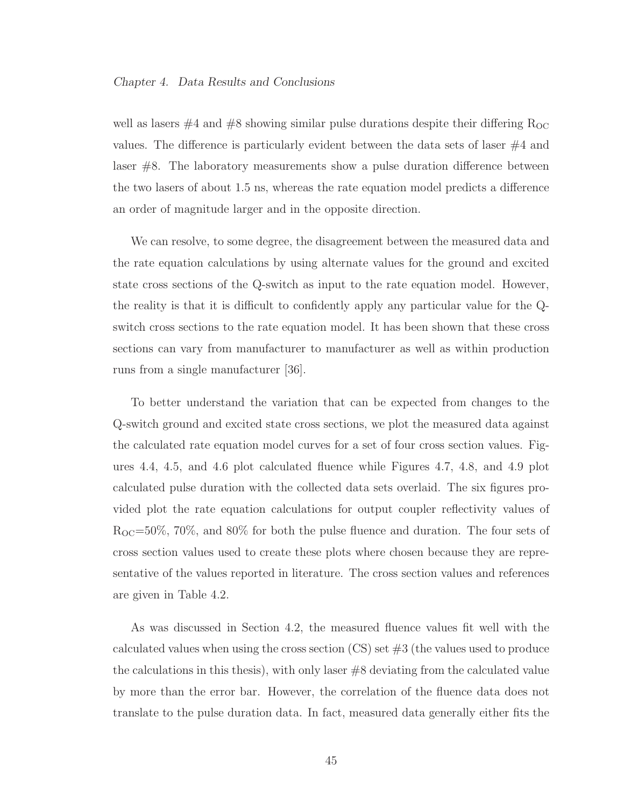well as lasers  $#4$  and  $#8$  showing similar pulse durations despite their differing  $R_{OC}$ values. The difference is particularly evident between the data sets of laser #4 and laser #8. The laboratory measurements show a pulse duration difference between the two lasers of about 1.5 ns, whereas the rate equation model predicts a difference an order of magnitude larger and in the opposite direction.

We can resolve, to some degree, the disagreement between the measured data and the rate equation calculations by using alternate values for the ground and excited state cross sections of the Q-switch as input to the rate equation model. However, the reality is that it is difficult to confidently apply any particular value for the Qswitch cross sections to the rate equation model. It has been shown that these cross sections can vary from manufacturer to manufacturer as well as within production runs from a single manufacturer [36].

To better understand the variation that can be expected from changes to the Q-switch ground and excited state cross sections, we plot the measured data against the calculated rate equation model curves for a set of four cross section values. Figures 4.4, 4.5, and 4.6 plot calculated fluence while Figures 4.7, 4.8, and 4.9 plot calculated pulse duration with the collected data sets overlaid. The six figures provided plot the rate equation calculations for output coupler reflectivity values of  $R_{\text{OC}}=50\%$ , 70%, and 80% for both the pulse fluence and duration. The four sets of cross section values used to create these plots where chosen because they are representative of the values reported in literature. The cross section values and references are given in Table 4.2.

As was discussed in Section 4.2, the measured fluence values fit well with the calculated values when using the cross section  $\left( \text{CS}\right)$  set  $\#3$  (the values used to produce the calculations in this thesis), with only laser #8 deviating from the calculated value by more than the error bar. However, the correlation of the fluence data does not translate to the pulse duration data. In fact, measured data generally either fits the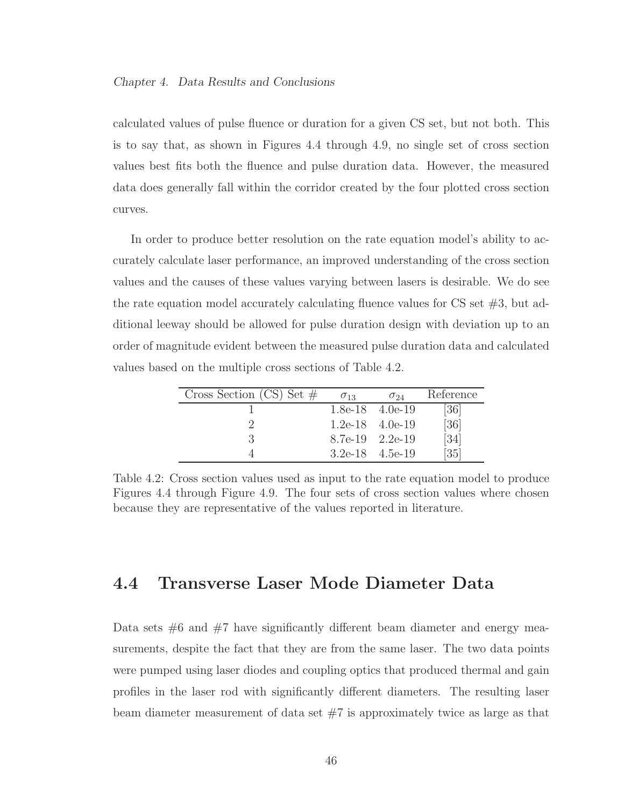calculated values of pulse fluence or duration for a given CS set, but not both. This is to say that, as shown in Figures 4.4 through 4.9, no single set of cross section values best fits both the fluence and pulse duration data. However, the measured data does generally fall within the corridor created by the four plotted cross section curves.

In order to produce better resolution on the rate equation model's ability to accurately calculate laser performance, an improved understanding of the cross section values and the causes of these values varying between lasers is desirable. We do see the rate equation model accurately calculating fluence values for  $\text{CS}$  set  $\#3$ , but additional leeway should be allowed for pulse duration design with deviation up to an order of magnitude evident between the measured pulse duration data and calculated values based on the multiple cross sections of Table 4.2.

| Cross Section (CS) Set $#$ | $\sigma_{13}$       | $\sigma_{24}$     | Reference         |
|----------------------------|---------------------|-------------------|-------------------|
|                            |                     | 1.8e-18 $4.0e-19$ | $\left[36\right]$ |
|                            |                     | 1.2e-18 $4.0e-19$ | [36]              |
|                            | 8.7e-19 2.2e-19     |                   | $\left[34\right]$ |
|                            | $3.2e-18$ $4.5e-19$ |                   | [35]              |

Table 4.2: Cross section values used as input to the rate equation model to produce Figures 4.4 through Figure 4.9. The four sets of cross section values where chosen because they are representative of the values reported in literature.

### 4.4 Transverse Laser Mode Diameter Data

Data sets  $#6$  and  $#7$  have significantly different beam diameter and energy measurements, despite the fact that they are from the same laser. The two data points were pumped using laser diodes and coupling optics that produced thermal and gain profiles in the laser rod with significantly different diameters. The resulting laser beam diameter measurement of data set  $#7$  is approximately twice as large as that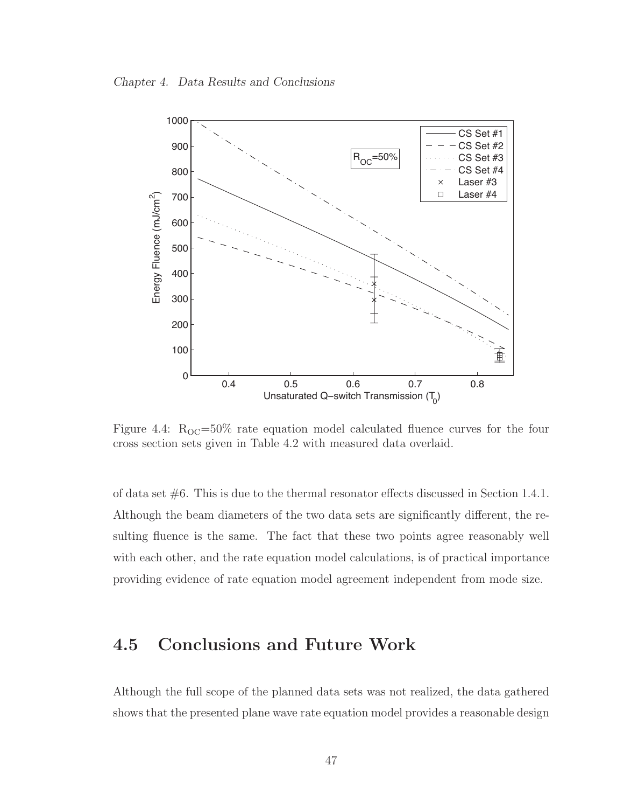Chapter 4. Data Results and Conclusions



Figure 4.4:  $R_{OC} = 50\%$  rate equation model calculated fluence curves for the four cross section sets given in Table 4.2 with measured data overlaid.

of data set  $\#6$ . This is due to the thermal resonator effects discussed in Section 1.4.1. Although the beam diameters of the two data sets are significantly different, the resulting fluence is the same. The fact that these two points agree reasonably well with each other, and the rate equation model calculations, is of practical importance providing evidence of rate equation model agreement independent from mode size.

## 4.5 Conclusions and Future Work

Although the full scope of the planned data sets was not realized, the data gathered shows that the presented plane wave rate equation model provides a reasonable design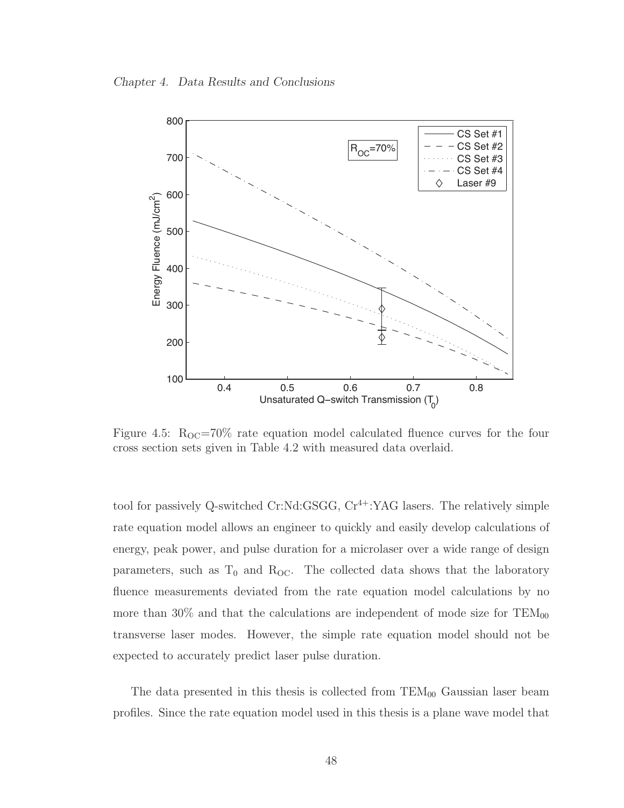Chapter 4. Data Results and Conclusions



Figure 4.5:  $R_{OC} = 70\%$  rate equation model calculated fluence curves for the four cross section sets given in Table 4.2 with measured data overlaid.

tool for passively Q-switched Cr:Nd:GSGG,  $Cr^{4+}$ :YAG lasers. The relatively simple rate equation model allows an engineer to quickly and easily develop calculations of energy, peak power, and pulse duration for a microlaser over a wide range of design parameters, such as  $T_0$  and  $R_{OC}$ . The collected data shows that the laboratory fluence measurements deviated from the rate equation model calculations by no more than 30% and that the calculations are independent of mode size for  $TEM_{00}$ transverse laser modes. However, the simple rate equation model should not be expected to accurately predict laser pulse duration.

The data presented in this thesis is collected from  $TEM_{00}$  Gaussian laser beam profiles. Since the rate equation model used in this thesis is a plane wave model that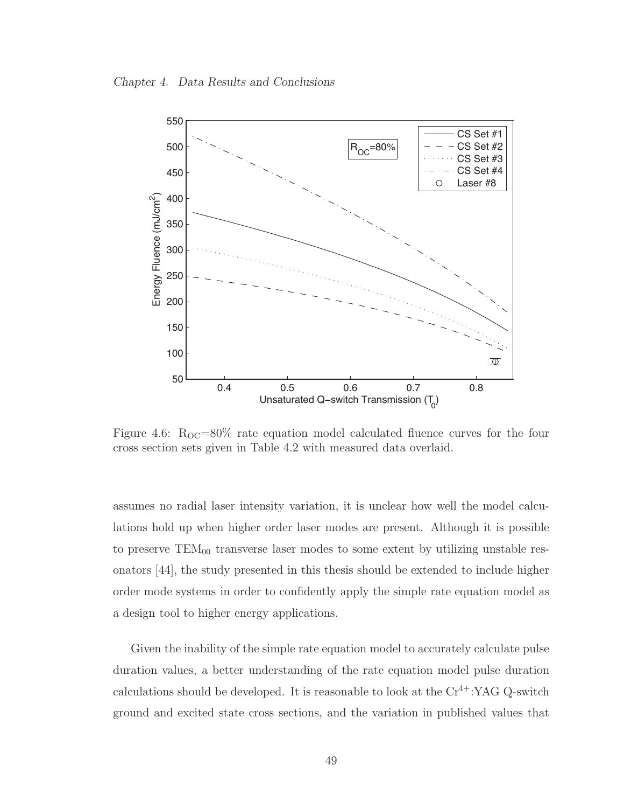Chapter 4. Data Results and Conclusions



Figure 4.6:  $R_{OC} = 80\%$  rate equation model calculated fluence curves for the four cross section sets given in Table 4.2 with measured data overlaid.

assumes no radial laser intensity variation, it is unclear how well the model calculations hold up when higher order laser modes are present. Although it is possible to preserve  $TEM_{00}$  transverse laser modes to some extent by utilizing unstable resonators [44], the study presented in this thesis should be extended to include higher order mode systems in order to confidently apply the simple rate equation model as a design tool to higher energy applications.

Given the inability of the simple rate equation model to accurately calculate pulse duration values, a better understanding of the rate equation model pulse duration calculations should be developed. It is reasonable to look at the  $Cr^{4+}$ :YAG Q-switch ground and excited state cross sections, and the variation in published values that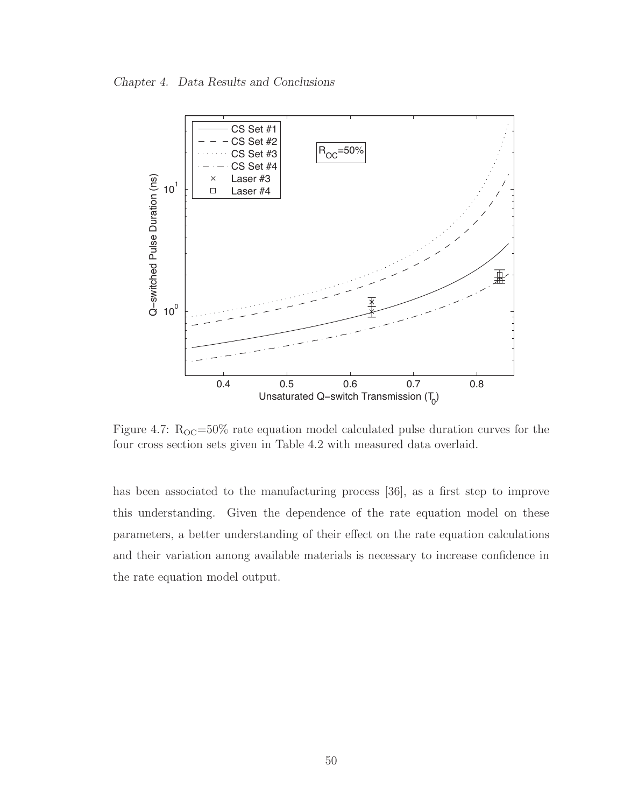Chapter 4. Data Results and Conclusions



Figure 4.7:  $R_{\text{OC}} = 50\%$  rate equation model calculated pulse duration curves for the four cross section sets given in Table 4.2 with measured data overlaid.

has been associated to the manufacturing process [36], as a first step to improve this understanding. Given the dependence of the rate equation model on these parameters, a better understanding of their effect on the rate equation calculations and their variation among available materials is necessary to increase confidence in the rate equation model output.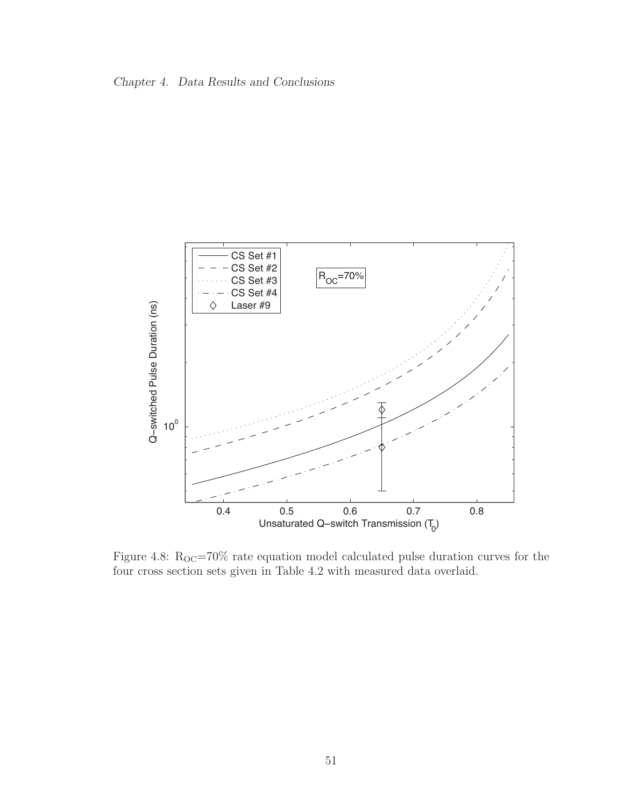



Figure 4.8:  $R_{OC} = 70\%$  rate equation model calculated pulse duration curves for the four cross section sets given in Table 4.2 with measured data overlaid.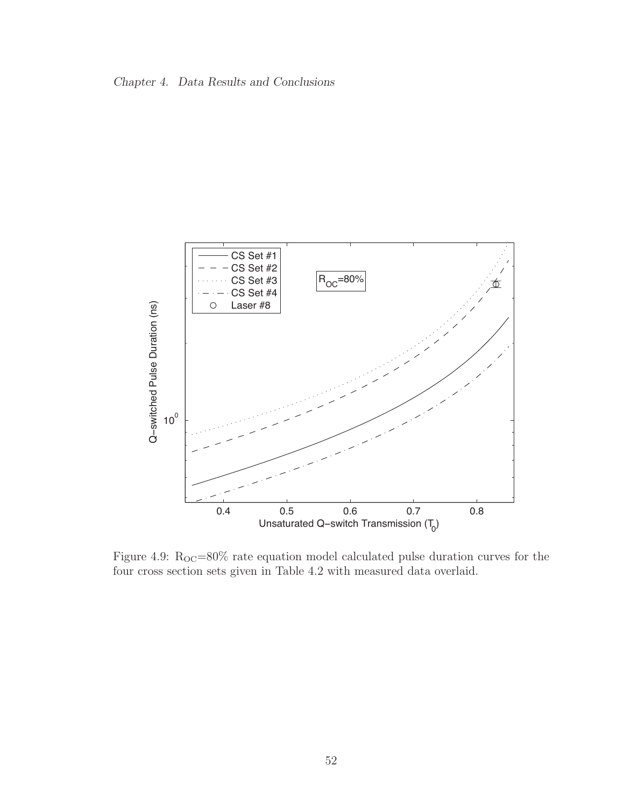



Figure 4.9:  $R_{OC} = 80\%$  rate equation model calculated pulse duration curves for the four cross section sets given in Table 4.2 with measured data overlaid.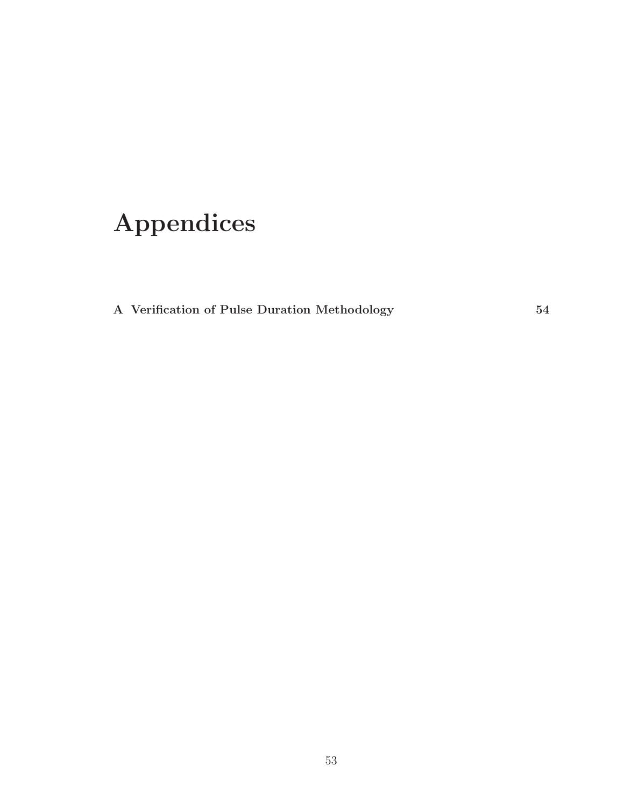## Appendices

A Verification of Pulse Duration Methodology 54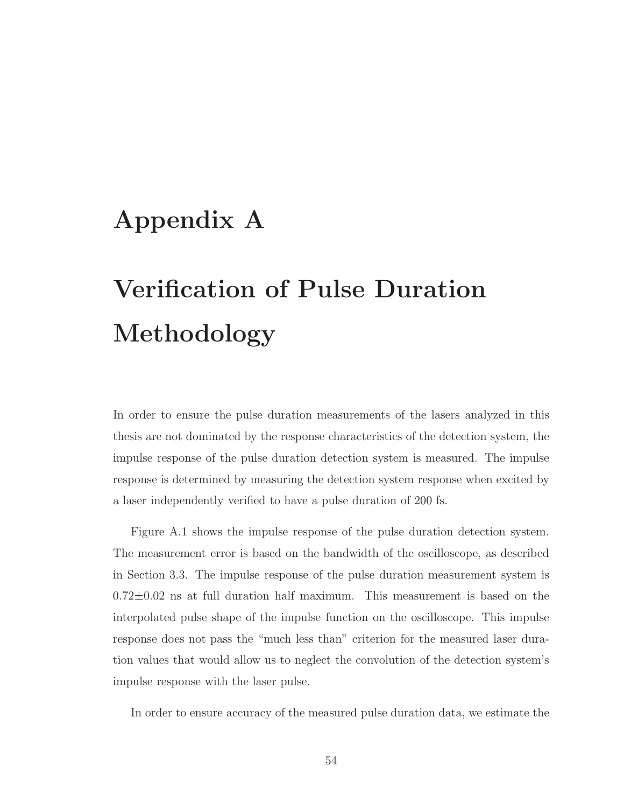## Appendix A

# Verification of Pulse Duration Methodology

In order to ensure the pulse duration measurements of the lasers analyzed in this thesis are not dominated by the response characteristics of the detection system, the impulse response of the pulse duration detection system is measured. The impulse response is determined by measuring the detection system response when excited by a laser independently verified to have a pulse duration of 200 fs.

Figure A.1 shows the impulse response of the pulse duration detection system. The measurement error is based on the bandwidth of the oscilloscope, as described in Section 3.3. The impulse response of the pulse duration measurement system is  $0.72\pm0.02$  ns at full duration half maximum. This measurement is based on the interpolated pulse shape of the impulse function on the oscilloscope. This impulse response does not pass the "much less than" criterion for the measured laser duration values that would allow us to neglect the convolution of the detection system's impulse response with the laser pulse.

In order to ensure accuracy of the measured pulse duration data, we estimate the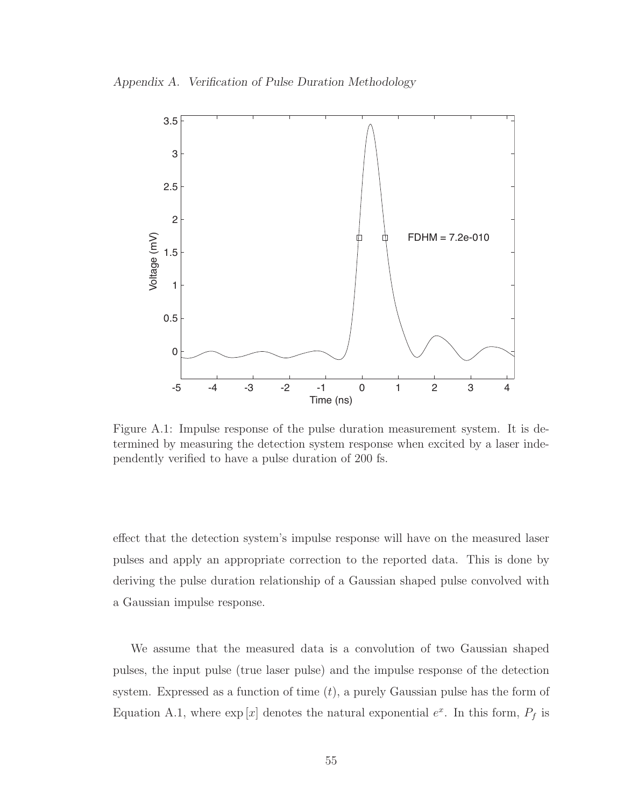Appendix A. Verification of Pulse Duration Methodology



Figure A.1: Impulse response of the pulse duration measurement system. It is determined by measuring the detection system response when excited by a laser independently verified to have a pulse duration of 200 fs.

effect that the detection system's impulse response will have on the measured laser pulses and apply an appropriate correction to the reported data. This is done by deriving the pulse duration relationship of a Gaussian shaped pulse convolved with a Gaussian impulse response.

We assume that the measured data is a convolution of two Gaussian shaped pulses, the input pulse (true laser pulse) and the impulse response of the detection system. Expressed as a function of time  $(t)$ , a purely Gaussian pulse has the form of Equation A.1, where  $\exp[x]$  denotes the natural exponential  $e^x$ . In this form,  $P_f$  is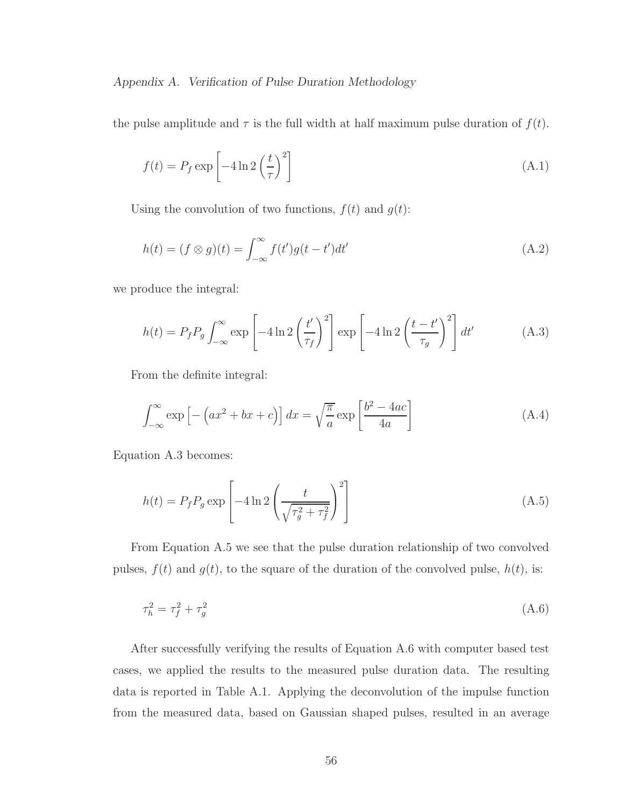Appendix A. Verification of Pulse Duration Methodology

the pulse amplitude and  $\tau$  is the full width at half maximum pulse duration of  $f(t)$ .

$$
f(t) = P_f \exp\left[-4\ln 2\left(\frac{t}{\tau}\right)^2\right]
$$
\n(A.1)

Using the convolution of two functions,  $f(t)$  and  $g(t)$ :

$$
h(t) = (f \otimes g)(t) = \int_{-\infty}^{\infty} f(t')g(t - t')dt'
$$
\n(A.2)

we produce the integral:

$$
h(t) = P_f P_g \int_{-\infty}^{\infty} \exp\left[-4\ln 2\left(\frac{t'}{\tau_f}\right)^2\right] \exp\left[-4\ln 2\left(\frac{t-t'}{\tau_g}\right)^2\right] dt' \tag{A.3}
$$

From the definite integral:

$$
\int_{-\infty}^{\infty} \exp\left[-\left(ax^2 + bx + c\right)\right] dx = \sqrt{\frac{\pi}{a}} \exp\left[\frac{b^2 - 4ac}{4a}\right]
$$
\n(A.4)

Equation A.3 becomes:

$$
h(t) = P_f P_g \exp\left[-4\ln 2\left(\frac{t}{\sqrt{\tau_g^2 + \tau_f^2}}\right)^2\right]
$$
\n(A.5)

From Equation A.5 we see that the pulse duration relationship of two convolved pulses,  $f(t)$  and  $g(t)$ , to the square of the duration of the convolved pulse,  $h(t)$ , is:

$$
\tau_h^2 = \tau_f^2 + \tau_g^2 \tag{A.6}
$$

After successfully verifying the results of Equation A.6 with computer based test cases, we applied the results to the measured pulse duration data. The resulting data is reported in Table A.1. Applying the deconvolution of the impulse function from the measured data, based on Gaussian shaped pulses, resulted in an average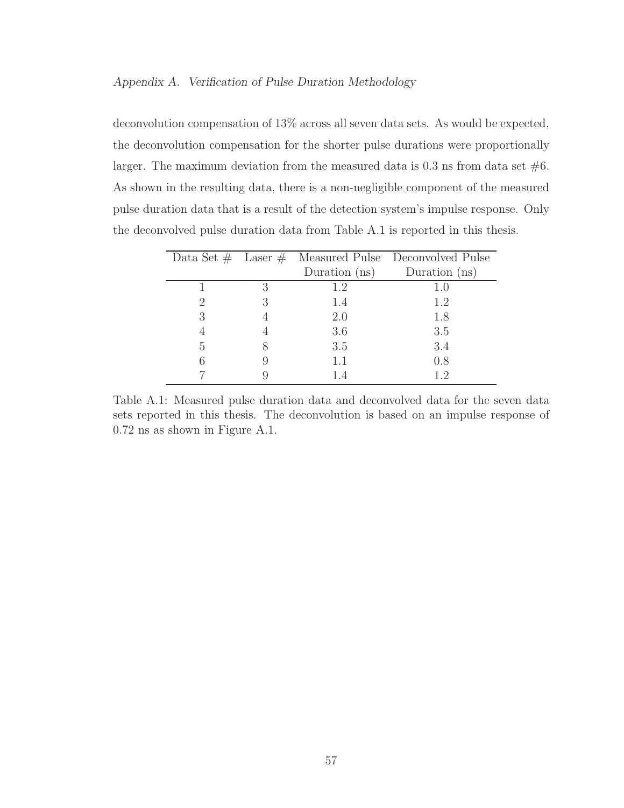### Appendix A. Verification of Pulse Duration Methodology

deconvolution compensation of 13% across all seven data sets. As would be expected, the deconvolution compensation for the shorter pulse durations were proportionally larger. The maximum deviation from the measured data is  $0.3$  ns from data set  $#6$ . As shown in the resulting data, there is a non-negligible component of the measured pulse duration data that is a result of the detection system's impulse response. Only the deconvolved pulse duration data from Table A.1 is reported in this thesis.

|         |   |                 | Data Set $\#$ Laser $\#$ Measured Pulse Deconvolved Pulse |
|---------|---|-----------------|-----------------------------------------------------------|
|         |   | Duration $(ns)$ | Duration $(ns)$                                           |
|         | 3 | 1.2             | 1.0                                                       |
| $\cdot$ | 3 | 1.4             | 1.2                                                       |
| 3       |   | 2.0             | 1.8                                                       |
|         |   | 3.6             | 3.5                                                       |
| 5       |   | 3.5             | 3.4                                                       |
|         |   | 1.1             | 0.8                                                       |
|         |   |                 | 12                                                        |

Table A.1: Measured pulse duration data and deconvolved data for the seven data sets reported in this thesis. The deconvolution is based on an impulse response of 0.72 ns as shown in Figure A.1.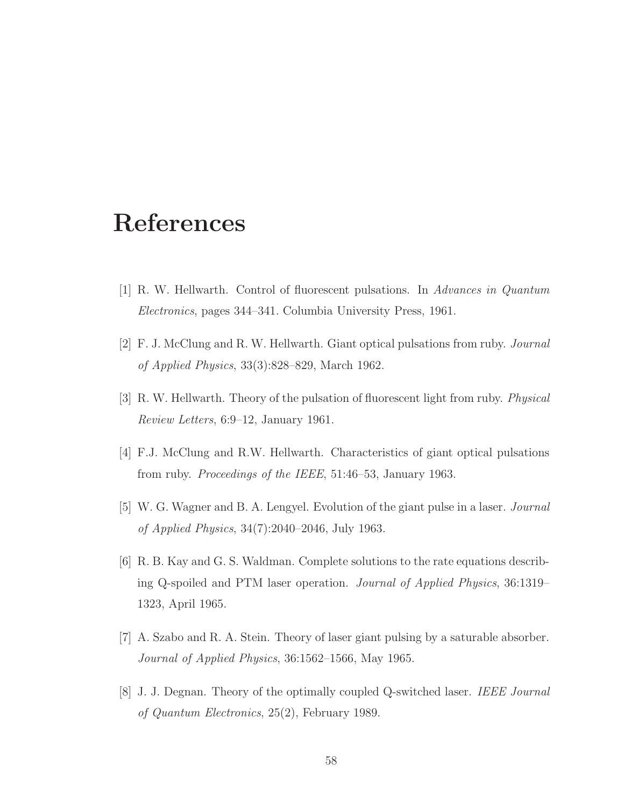## References

- [1] R. W. Hellwarth. Control of fluorescent pulsations. In Advances in Quantum Electronics, pages 344–341. Columbia University Press, 1961.
- [2] F. J. McClung and R. W. Hellwarth. Giant optical pulsations from ruby. Journal of Applied Physics, 33(3):828–829, March 1962.
- [3] R. W. Hellwarth. Theory of the pulsation of fluorescent light from ruby. Physical Review Letters, 6:9–12, January 1961.
- [4] F.J. McClung and R.W. Hellwarth. Characteristics of giant optical pulsations from ruby. Proceedings of the IEEE, 51:46–53, January 1963.
- [5] W. G. Wagner and B. A. Lengyel. Evolution of the giant pulse in a laser. Journal of Applied Physics, 34(7):2040–2046, July 1963.
- [6] R. B. Kay and G. S. Waldman. Complete solutions to the rate equations describing Q-spoiled and PTM laser operation. Journal of Applied Physics, 36:1319– 1323, April 1965.
- [7] A. Szabo and R. A. Stein. Theory of laser giant pulsing by a saturable absorber. Journal of Applied Physics, 36:1562–1566, May 1965.
- [8] J. J. Degnan. Theory of the optimally coupled Q-switched laser. IEEE Journal of Quantum Electronics, 25(2), February 1989.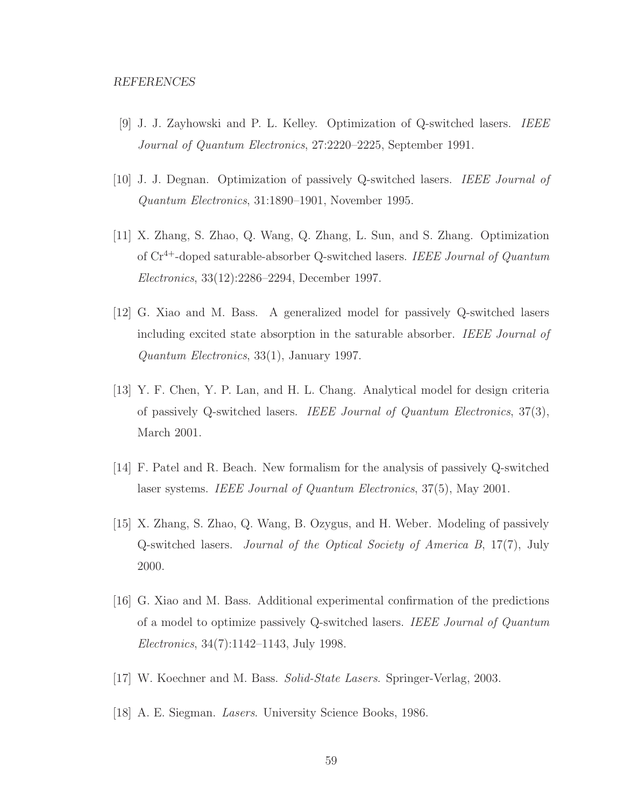- [9] J. J. Zayhowski and P. L. Kelley. Optimization of Q-switched lasers. IEEE Journal of Quantum Electronics, 27:2220–2225, September 1991.
- [10] J. J. Degnan. Optimization of passively Q-switched lasers. IEEE Journal of Quantum Electronics, 31:1890–1901, November 1995.
- [11] X. Zhang, S. Zhao, Q. Wang, Q. Zhang, L. Sun, and S. Zhang. Optimization of Cr4+-doped saturable-absorber Q-switched lasers. IEEE Journal of Quantum Electronics, 33(12):2286–2294, December 1997.
- [12] G. Xiao and M. Bass. A generalized model for passively Q-switched lasers including excited state absorption in the saturable absorber. IEEE Journal of Quantum Electronics, 33(1), January 1997.
- [13] Y. F. Chen, Y. P. Lan, and H. L. Chang. Analytical model for design criteria of passively Q-switched lasers. IEEE Journal of Quantum Electronics, 37(3), March 2001.
- [14] F. Patel and R. Beach. New formalism for the analysis of passively Q-switched laser systems. IEEE Journal of Quantum Electronics, 37(5), May 2001.
- [15] X. Zhang, S. Zhao, Q. Wang, B. Ozygus, and H. Weber. Modeling of passively Q-switched lasers. Journal of the Optical Society of America B, 17(7), July 2000.
- [16] G. Xiao and M. Bass. Additional experimental confirmation of the predictions of a model to optimize passively Q-switched lasers. IEEE Journal of Quantum Electronics, 34(7):1142–1143, July 1998.
- [17] W. Koechner and M. Bass. Solid-State Lasers. Springer-Verlag, 2003.
- [18] A. E. Siegman. Lasers. University Science Books, 1986.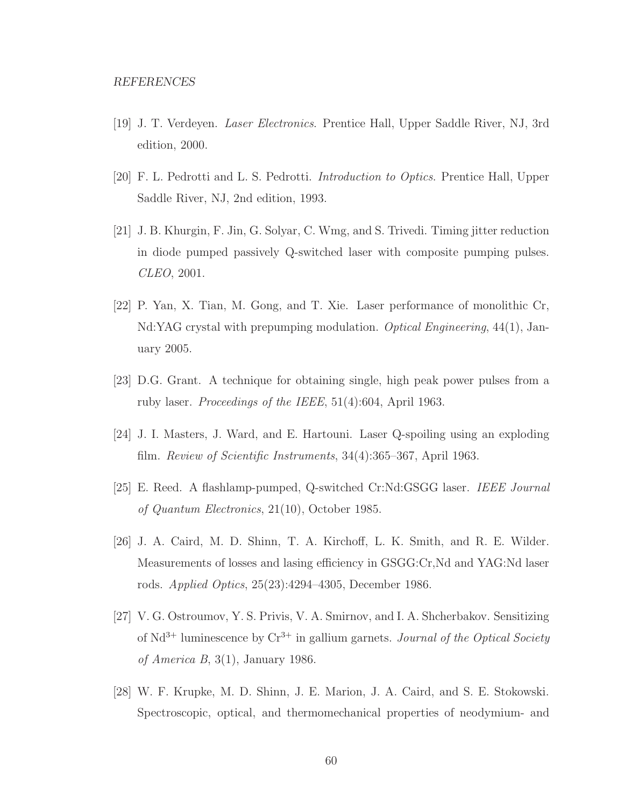- [19] J. T. Verdeyen. Laser Electronics. Prentice Hall, Upper Saddle River, NJ, 3rd edition, 2000.
- [20] F. L. Pedrotti and L. S. Pedrotti. Introduction to Optics. Prentice Hall, Upper Saddle River, NJ, 2nd edition, 1993.
- [21] J. B. Khurgin, F. Jin, G. Solyar, C. Wmg, and S. Trivedi. Timing jitter reduction in diode pumped passively Q-switched laser with composite pumping pulses. CLEO, 2001.
- [22] P. Yan, X. Tian, M. Gong, and T. Xie. Laser performance of monolithic Cr, Nd:YAG crystal with prepumping modulation. Optical Engineering, 44(1), January 2005.
- [23] D.G. Grant. A technique for obtaining single, high peak power pulses from a ruby laser. Proceedings of the IEEE, 51(4):604, April 1963.
- [24] J. I. Masters, J. Ward, and E. Hartouni. Laser Q-spoiling using an exploding film. Review of Scientific Instruments, 34(4):365–367, April 1963.
- [25] E. Reed. A flashlamp-pumped, Q-switched Cr:Nd:GSGG laser. IEEE Journal of Quantum Electronics, 21(10), October 1985.
- [26] J. A. Caird, M. D. Shinn, T. A. Kirchoff, L. K. Smith, and R. E. Wilder. Measurements of losses and lasing efficiency in GSGG:Cr,Nd and YAG:Nd laser rods. Applied Optics, 25(23):4294–4305, December 1986.
- [27] V. G. Ostroumov, Y. S. Privis, V. A. Smirnov, and I. A. Shcherbakov. Sensitizing of  $Nd^{3+}$  luminescence by  $Cr^{3+}$  in gallium garnets. *Journal of the Optical Society* of America B, 3(1), January 1986.
- [28] W. F. Krupke, M. D. Shinn, J. E. Marion, J. A. Caird, and S. E. Stokowski. Spectroscopic, optical, and thermomechanical properties of neodymium- and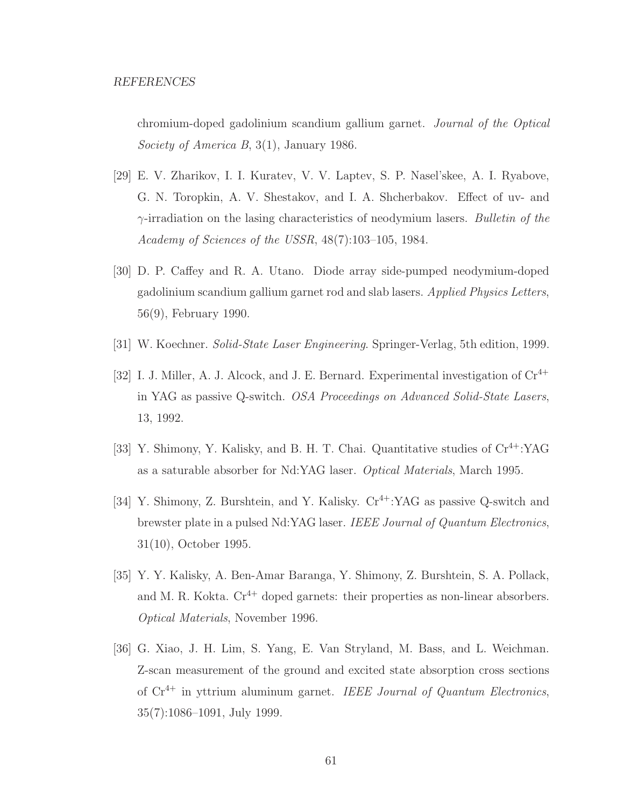chromium-doped gadolinium scandium gallium garnet. Journal of the Optical Society of America B, 3(1), January 1986.

- [29] E. V. Zharikov, I. I. Kuratev, V. V. Laptev, S. P. Nasel'skee, A. I. Ryabove, G. N. Toropkin, A. V. Shestakov, and I. A. Shcherbakov. Effect of uv- and  $\gamma$ -irradiation on the lasing characteristics of neodymium lasers. Bulletin of the Academy of Sciences of the USSR, 48(7):103–105, 1984.
- [30] D. P. Caffey and R. A. Utano. Diode array side-pumped neodymium-doped gadolinium scandium gallium garnet rod and slab lasers. Applied Physics Letters, 56(9), February 1990.
- [31] W. Koechner. Solid-State Laser Engineering. Springer-Verlag, 5th edition, 1999.
- [32] I. J. Miller, A. J. Alcock, and J. E. Bernard. Experimental investigation of  $Cr^{4+}$ in YAG as passive Q-switch. OSA Proceedings on Advanced Solid-State Lasers, 13, 1992.
- [33] Y. Shimony, Y. Kalisky, and B. H. T. Chai. Quantitative studies of  $Cr^{4+}$ :YAG as a saturable absorber for Nd:YAG laser. Optical Materials, March 1995.
- [34] Y. Shimony, Z. Burshtein, and Y. Kalisky.  $Cr^{4+}$ :YAG as passive Q-switch and brewster plate in a pulsed Nd:YAG laser. IEEE Journal of Quantum Electronics, 31(10), October 1995.
- [35] Y. Y. Kalisky, A. Ben-Amar Baranga, Y. Shimony, Z. Burshtein, S. A. Pollack, and M. R. Kokta.  $Cr^{4+}$  doped garnets: their properties as non-linear absorbers. Optical Materials, November 1996.
- [36] G. Xiao, J. H. Lim, S. Yang, E. Van Stryland, M. Bass, and L. Weichman. Z-scan measurement of the ground and excited state absorption cross sections of  $Cr^{4+}$  in yttrium aluminum garnet. IEEE Journal of Quantum Electronics, 35(7):1086–1091, July 1999.